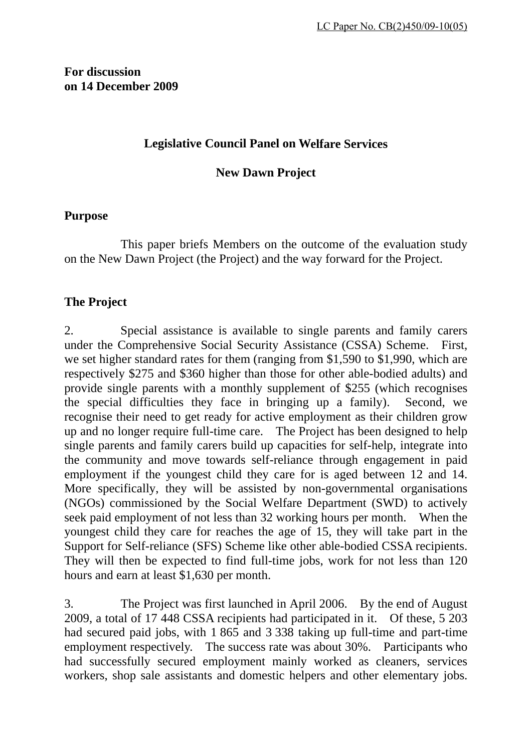## **Legislative Council Panel on Welfare Services**

**New Dawn Project** 

## **Purpose**

 This paper briefs Members on the outcome of the evaluation study on the New Dawn Project (the Project) and the way forward for the Project.

## **The Project**

2. Special assistance is available to single parents and family carers under the Comprehensive Social Security Assistance (CSSA) Scheme. First, we set higher standard rates for them (ranging from \$1,590 to \$1,990, which are respectively \$275 and \$360 higher than those for other able-bodied adults) and provide single parents with a monthly supplement of \$255 (which recognises the special difficulties they face in bringing up a family). Second, we recognise their need to get ready for active employment as their children grow up and no longer require full-time care. The Project has been designed to help single parents and family carers build up capacities for self-help, integrate into the community and move towards self-reliance through engagement in paid employment if the youngest child they care for is aged between 12 and 14. More specifically, they will be assisted by non-governmental organisations (NGOs) commissioned by the Social Welfare Department (SWD) to actively seek paid employment of not less than 32 working hours per month. When the youngest child they care for reaches the age of 15, they will take part in the Support for Self-reliance (SFS) Scheme like other able-bodied CSSA recipients. They will then be expected to find full-time jobs, work for not less than 120 hours and earn at least \$1,630 per month.

3. The Project was first launched in April 2006. By the end of August 2009, a total of 17 448 CSSA recipients had participated in it. Of these, 5 203 had secured paid jobs, with 1 865 and 3 338 taking up full-time and part-time employment respectively. The success rate was about 30%. Participants who had successfully secured employment mainly worked as cleaners, services workers, shop sale assistants and domestic helpers and other elementary jobs.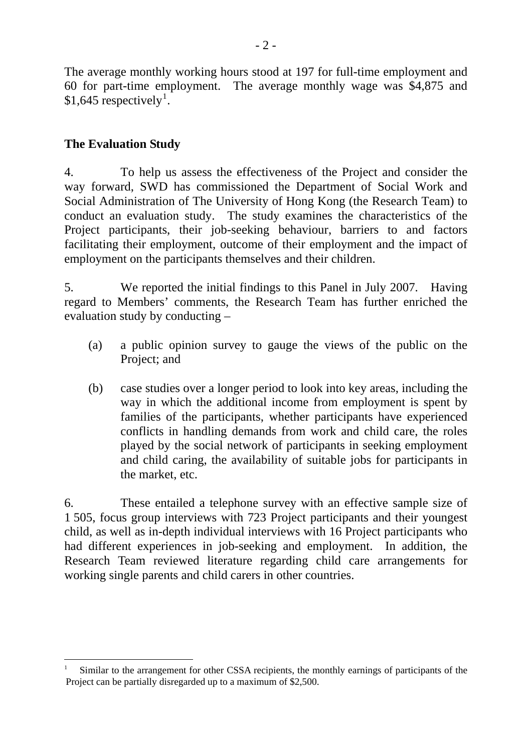The average monthly working hours stood at 197 for full-time employment and 60 for part-time employment. The average monthly wage was \$4,875 and  $$1,645$  $$1,645$  $$1,645$  respectively<sup>1</sup>.

# **The Evaluation Study**

1

4. To help us assess the effectiveness of the Project and consider the way forward, SWD has commissioned the Department of Social Work and Social Administration of The University of Hong Kong (the Research Team) to conduct an evaluation study. The study examines the characteristics of the Project participants, their job-seeking behaviour, barriers to and factors facilitating their employment, outcome of their employment and the impact of employment on the participants themselves and their children.

5. We reported the initial findings to this Panel in July 2007. Having regard to Members' comments, the Research Team has further enriched the evaluation study by conducting –

- (a) a public opinion survey to gauge the views of the public on the Project; and
- (b) case studies over a longer period to look into key areas, including the way in which the additional income from employment is spent by families of the participants, whether participants have experienced conflicts in handling demands from work and child care, the roles played by the social network of participants in seeking employment and child caring, the availability of suitable jobs for participants in the market, etc.

6. These entailed a telephone survey with an effective sample size of 1 505, focus group interviews with 723 Project participants and their youngest child, as well as in-depth individual interviews with 16 Project participants who had different experiences in job-seeking and employment. In addition, the Research Team reviewed literature regarding child care arrangements for working single parents and child carers in other countries.

<span id="page-1-0"></span><sup>1</sup> Similar to the arrangement for other CSSA recipients, the monthly earnings of participants of the Project can be partially disregarded up to a maximum of \$2,500.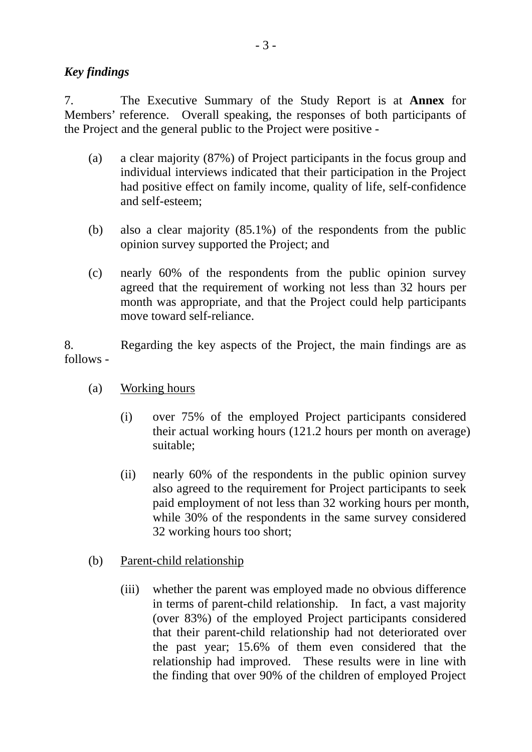## *Key findings*

7. The Executive Summary of the Study Report is at **Annex** for Members' reference. Overall speaking, the responses of both participants of the Project and the general public to the Project were positive -

- (a) a clear majority (87%) of Project participants in the focus group and individual interviews indicated that their participation in the Project had positive effect on family income, quality of life, self-confidence and self-esteem;
- (b) also a clear majority (85.1%) of the respondents from the public opinion survey supported the Project; and
- (c) nearly 60% of the respondents from the public opinion survey agreed that the requirement of working not less than 32 hours per month was appropriate, and that the Project could help participants move toward self-reliance.

8. Regarding the key aspects of the Project, the main findings are as follows -

- (a) Working hours
	- (i) over 75% of the employed Project participants considered their actual working hours (121.2 hours per month on average) suitable;
	- (ii) nearly 60% of the respondents in the public opinion survey also agreed to the requirement for Project participants to seek paid employment of not less than 32 working hours per month, while 30% of the respondents in the same survey considered 32 working hours too short;
- (b) Parent-child relationship
	- (iii) whether the parent was employed made no obvious difference in terms of parent-child relationship. In fact, a vast majority (over 83%) of the employed Project participants considered that their parent-child relationship had not deteriorated over the past year; 15.6% of them even considered that the relationship had improved. These results were in line with the finding that over 90% of the children of employed Project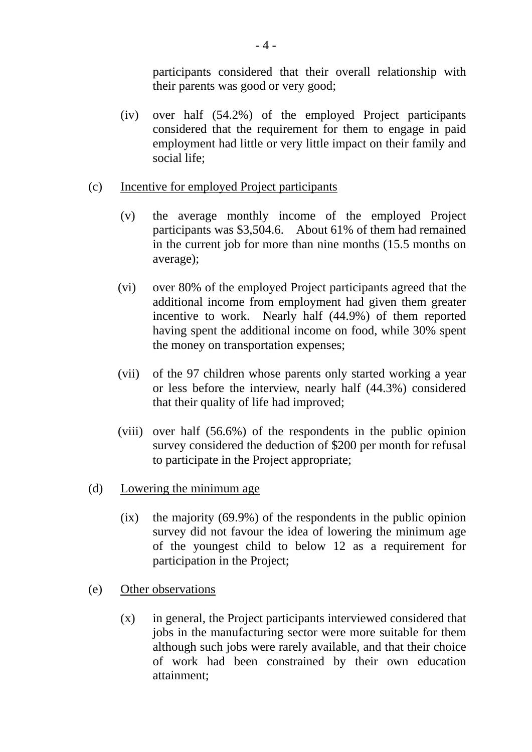participants considered that their overall relationship with their parents was good or very good;

- (iv) over half (54.2%) of the employed Project participants considered that the requirement for them to engage in paid employment had little or very little impact on their family and social life;
- (c) Incentive for employed Project participants
	- (v) the average monthly income of the employed Project participants was \$3,504.6. About 61% of them had remained in the current job for more than nine months (15.5 months on average);
	- (vi) over 80% of the employed Project participants agreed that the additional income from employment had given them greater incentive to work. Nearly half (44.9%) of them reported having spent the additional income on food, while 30% spent the money on transportation expenses;
	- (vii) of the 97 children whose parents only started working a year or less before the interview, nearly half (44.3%) considered that their quality of life had improved;
	- (viii) over half (56.6%) of the respondents in the public opinion survey considered the deduction of \$200 per month for refusal to participate in the Project appropriate;
- (d) Lowering the minimum age
	- $(ix)$  the majority (69.9%) of the respondents in the public opinion survey did not favour the idea of lowering the minimum age of the youngest child to below 12 as a requirement for participation in the Project;
- (e) Other observations
	- (x) in general, the Project participants interviewed considered that jobs in the manufacturing sector were more suitable for them although such jobs were rarely available, and that their choice of work had been constrained by their own education attainment;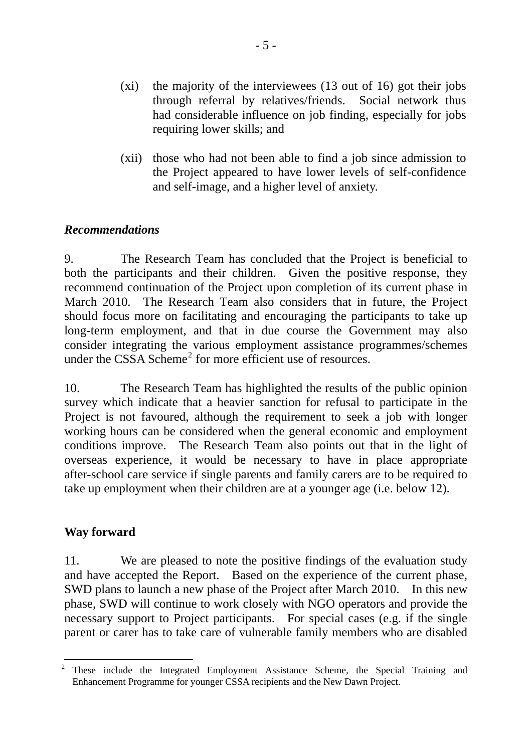- (xi) the majority of the interviewees (13 out of 16) got their jobs through referral by relatives/friends. Social network thus had considerable influence on job finding, especially for jobs requiring lower skills; and
- (xii) those who had not been able to find a job since admission to the Project appeared to have lower levels of self-confidence and self-image, and a higher level of anxiety.

## *Recommendations*

9. The Research Team has concluded that the Project is beneficial to both the participants and their children. Given the positive response, they recommend continuation of the Project upon completion of its current phase in March 2010. The Research Team also considers that in future, the Project should focus more on facilitating and encouraging the participants to take up long-term employment, and that in due course the Government may also consider integrating the various employment assistance programmes/schemes under the CSSA Scheme<sup>[2](#page-4-0)</sup> for more efficient use of resources.

10. The Research Team has highlighted the results of the public opinion survey which indicate that a heavier sanction for refusal to participate in the Project is not favoured, although the requirement to seek a job with longer working hours can be considered when the general economic and employment conditions improve. The Research Team also points out that in the light of overseas experience, it would be necessary to have in place appropriate after-school care service if single parents and family carers are to be required to take up employment when their children are at a younger age (i.e. below 12).

### **Way forward**

11. We are pleased to note the positive findings of the evaluation study and have accepted the Report. Based on the experience of the current phase, SWD plans to launch a new phase of the Project after March 2010. In this new phase, SWD will continue to work closely with NGO operators and provide the necessary support to Project participants. For special cases (e.g. if the single parent or carer has to take care of vulnerable family members who are disabled

<span id="page-4-0"></span> $\frac{1}{2}$  These include the Integrated Employment Assistance Scheme, the Special Training and Enhancement Programme for younger CSSA recipients and the New Dawn Project.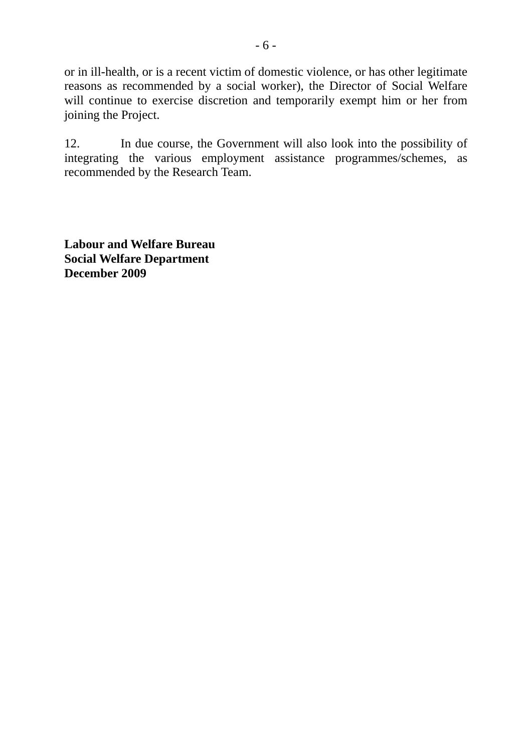or in ill-health, or is a recent victim of domestic violence, or has other legitimate reasons as recommended by a social worker), the Director of Social Welfare will continue to exercise discretion and temporarily exempt him or her from joining the Project.

12. In due course, the Government will also look into the possibility of integrating the various employment assistance programmes/schemes, as recommended by the Research Team.

**Labour and Welfare Bureau Social Welfare Department December 2009**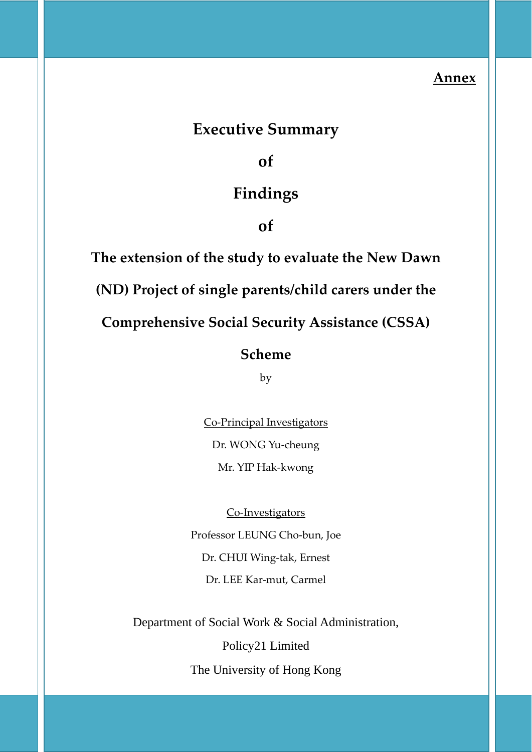## **Annex**

# **Executive Summary**

**of**

# **Findings**

**of**

**The extension of the study to evaluate the New Dawn (ND) Project of single parents/child carers under the Comprehensive Social Security Assistance (CSSA) Scheme**

by

<u>Co-Principal Investigators</u> Dr. WONG Yu‐cheung Mr. YIP Hak‐kwong

<u>Co-Investigators</u> Professor LEUNG Cho-bun*,* Joe Dr. CHUI Wing‐tak, Ernest Dr. LEE Kar‐mut, Carmel

Department of Social Work & Social Administration,

Policy21 Limited

The University of Hong Kong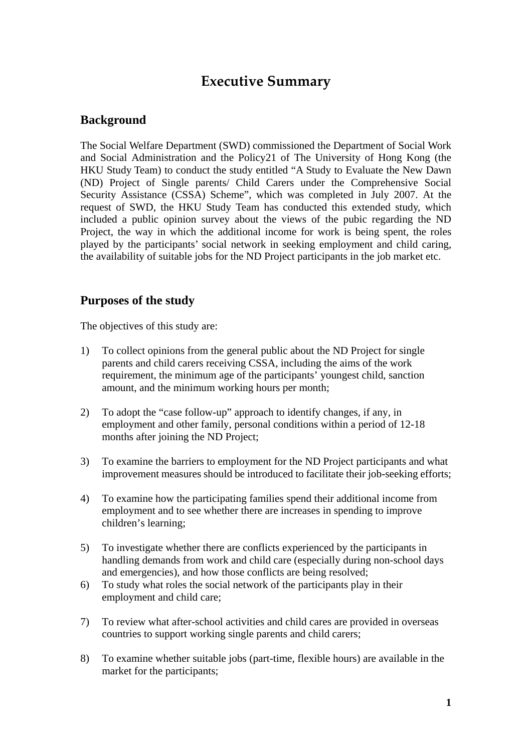# **Executive Summary**

## **Background**

The Social Welfare Department (SWD) commissioned the Department of Social Work and Social Administration and the Policy21 of The University of Hong Kong (the HKU Study Team) to conduct the study entitled "A Study to Evaluate the New Dawn (ND) Project of Single parents/ Child Carers under the Comprehensive Social Security Assistance (CSSA) Scheme", which was completed in July 2007. At the request of SWD, the HKU Study Team has conducted this extended study, which included a public opinion survey about the views of the pubic regarding the ND Project, the way in which the additional income for work is being spent, the roles played by the participants' social network in seeking employment and child caring, the availability of suitable jobs for the ND Project participants in the job market etc.

## **urposes of the study P**

The objectives of this study are:

- 1) To collect opinions from the general public about the ND Project for single parents and child carers receiving CSSA, including the aims of the work requirement, the minimum age of the participants' youngest child, sanction amount, and the minimum working hours per month;
- 2) To adopt the "case follow-up" approach to identify changes, if any, in employment and other family, personal conditions within a period of 12-18 months after joining the ND Project;
- 3) To examine the barriers to employment for the ND Project participants and what improvement measures should be introduced to facilitate their job-seeking efforts;
- 4) employment and to see whether there are increases in spending to improve To examine how the participating families spend their additional income from children's learning;
- 5) To investigate whether there are conflicts experienced by the participants in handling demands from work and child care (especially during non-school days and emergencies), and how those conflicts are being resolved;
- 6) To study what roles the social network of the participants play in their employment and child care;
- 7) To review what after-school activities and child cares are provided in overseas countries to support working single parents and child carers;
- 8) To examine whether suitable jobs (part-time, flexible hours) are available in the market for the participants;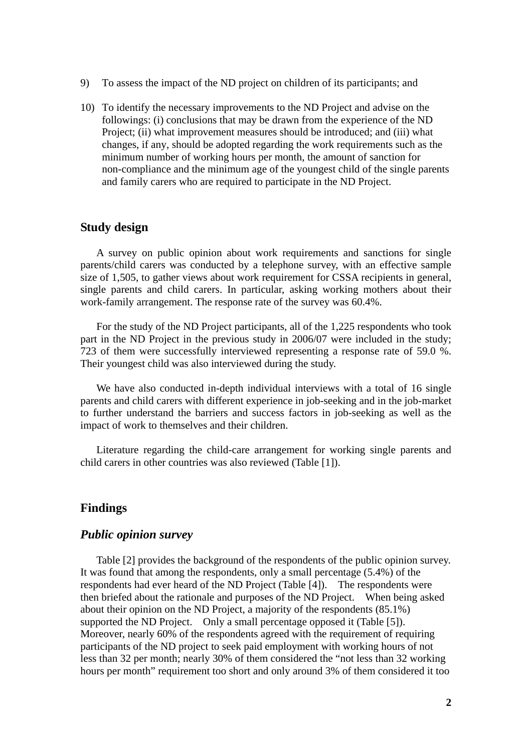- 9) To assess the impact of the ND project on children of its participants; and
- 10) To identify the necessary improvements to the ND Project and advise on the followings: (i) conclusions that may be drawn from the experience of the ND changes, if any, should be adopted regarding the work requirements such as the Project; (ii) what improvement measures should be introduced; and (iii) what minimum number of working hours per month, the amount of sanction for non-compliance and the minimum age of the youngest child of the single parents and family carers who are required to participate in the ND Project.

### **Study design**

A survey on public opinion about work requirements and sanctions for single parents/child carers was conducted by a telephone survey, with an effective sample size of 1,505, to gather views about work requirement for CSSA recipients in general, single parents and child carers. In particular, asking working mothers about their work-family arrangement. The response rate of the survey was 60.4%.

For the study of the ND Project participants, all of the 1,225 respondents who took part in the ND Project in the previous study in 2006/07 were included in the study; 723 of them were successfully interviewed representing a response rate of 59.0 %. Their youngest child was also interviewed during the study.

We have also conducted in-depth individual interviews with a total of 16 single parents and child carers with different experience in job-seeking and in the job-market to f urther understand the barriers and success factors in job-seeking as well as the impact of work to themselves and their children.

Literature regarding the child-care arrangement for working single parents and child carers in other countries was also reviewed (Table [1]).

### **indings F**

### *Public opinion survey*

Table [2] provides the background of the respondents of the public opinion survey. It was found that among the respondents, only a small percentage (5.4%) of the resp ondents had ever heard of the ND Project (Table [4]). The respondents were then briefed about the rationale and purposes of the ND Project. When being asked Moreover, nearly 60% of the respondents agreed with the requirement of requiring participants of the ND project to seek paid employment with working hours of not less than 32 per month; nearly 30% of them considered the "not less than 32 working hours per month" requirement too short and only around 3% of them considered it too about their opinion on the ND Project, a majority of the respondents (85.1%) supported the ND Project. Only a small percentage opposed it (Table [5]).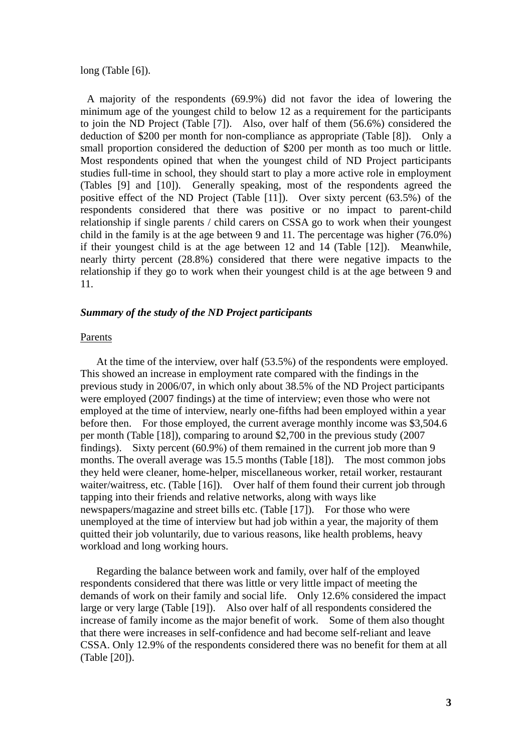long (Table [6]).

A majority of the respondents (69.9%) did not favor the idea of lowering the minimum age of the youngest child to below 12 as a requirement for the participants to join the ND Project (Table [7]). Also, over half of them (56.6%) considered the deduction of \$200 per month for non-compliance as appropriate (Table [8]). Only a small proportion considered the deduction of \$200 per month as too much or little. Most respondents opined that when the youngest child of ND Project participants studies full-time in school, they should start to play a more active role in employment (Tables [9] and [10]). Generally speaking, most of the respondents agreed the positive effect of the ND Project (Table [11]). Over sixty percent (63.5%) of the respondents considered that there was positive or no impact to parent-child relationship if single parents / child carers on CSSA go to work when their youngest child in the family is at the age between 9 and 11. The percentage was higher (76.0%) if their youngest child is at the age between 12 and 14 (Table [12]). Meanwhile, nearly thirty percent (28.8%) considered that there were negative impacts to the relationship if they go to work when their youngest child is at the age between 9 and 11.

#### Summary of the study of the ND Project participants

#### Parents

At the time of the interview, over half (53.5%) of the respondents were employed. This showed an increase in employment rate compared with the findings in the pre vious study in 2006/07, in which only about 38.5% of the ND Project participants were employed (2007 findings) at the time of interview; even those who were not before then. For those employed, the current average monthly income was \$3,504.6 months. The overall average was 15.5 months (Table [18]). The most common jobs unemployed at the time of interview but had job within a year, the majority of them quitted their job voluntarily, due to various reasons, like health problems, heavy employed at the time of interview, nearly one-fifths had been employed within a year per month (Table [18]), comparing to around \$2,700 in the previous study (2007 findings). Sixty percent (60.9%) of them remained in the current job more than 9 they held were cleaner, home-helper, miscellaneous worker, retail worker, restaurant waiter/waitress, etc. (Table [16]). Over half of them found their current job through tapping into their friends and relative networks, along with ways like newspapers/magazine and street bills etc. (Table [17]). For those who were workload and long working hours.

Regarding the balance between work and family, over half of the employed respondents considered that there was little or very little impact of meeting the demands of work on their family and social life. Only 12.6% considered the impact large or very large (Table [19]). Also over half of all respondents considered the increase of family income as the major benefit of work. Some of them also thought that there were increases in self-confidence and had become self-reliant and leave CSSA. Only 12.9% of the respondents considered there was no benefit for them at all (Table [20]).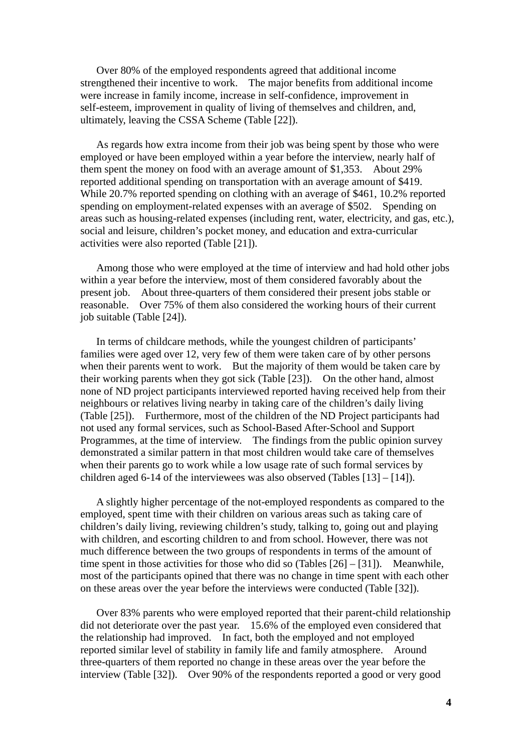Over 80% of the employed respondents agreed that additional income strengthened their incentive to work. The major benefits from additional income were increase in family income, increase in self-confidence, improvement in self-esteem, improvement in quality of living of themselves and children, and, ultimately, leaving the CSSA Scheme (Table [22]).

As regards how extra income from their job was being spent by those who were employed or have been employed within a year before the interview, nearly half of the m spent the money on food with an average amount of \$1,353. About 29% While 20.7% reported spending on clothing with an average of \$461, 10.2% reported areas such as housing-related expenses (including rent, water, electricity, and gas, etc.), reported additional spending on transportation with an average amount of \$419. spending on employment-related expenses with an average of \$502. Spending on social and leisure, children's pocket money, and education and extra-curricular activities were also reported (Table [21]).

Among those who were employed at the time of interview and had hold other jobs within a year before the interview, most of them considered favorably about the pre sent job. About three-quarters of them considered their present jobs stable or reasonable. Over 75% of them also considered the working hours of their current job suitable (Table [24]).

In terms of childcare methods, while the youngest children of participants' families were aged over 12, very few of them were taken care of by other persons when their parents went to work. But the majority of them would be taken care by demonstrated a similar pattern in that most children would take care of themselves their working parents when they got sick (Table [23]). On the other hand, almost none of ND project participants interviewed reported having received help from their neighbours or relatives living nearby in taking care of the children's daily living (Table [25]). Furthermore, most of the children of the ND Project participants had not used any formal services, such as School-Based After-School and Support Programmes, at the time of interview. The findings from the public opinion survey when their parents go to work while a low usage rate of such formal services by children aged 6-14 of the interviewees was also observed (Tables [13] – [14]).

A slightly higher percentage of the not-employed respondents as compared to the employed, spent time with their children on various areas such as taking care of chi ldren's daily living, reviewing children's study, talking to, going out and playing time spent in those activities for those who did so  $(Tables [26] - [31])$ . Meanwhile, most of the participants opined that there was no change in time spent with each other with children, and escorting children to and from school. However, there was not much difference between the two groups of respondents in terms of the amount of on these areas over the year before the interviews were conducted (Table [32]).

Over 83% parents who were employed reported that their parent-child relationship did not deteriorate over the past year. 15.6% of the employed even considered that the relationship had improved. In fact, both the employed and not employed three-quarters of them reported no change in these areas over the year before the interview (Table [32]). Over 90% of the respondents reported a good or very good reported similar level of stability in family life and family atmosphere. Around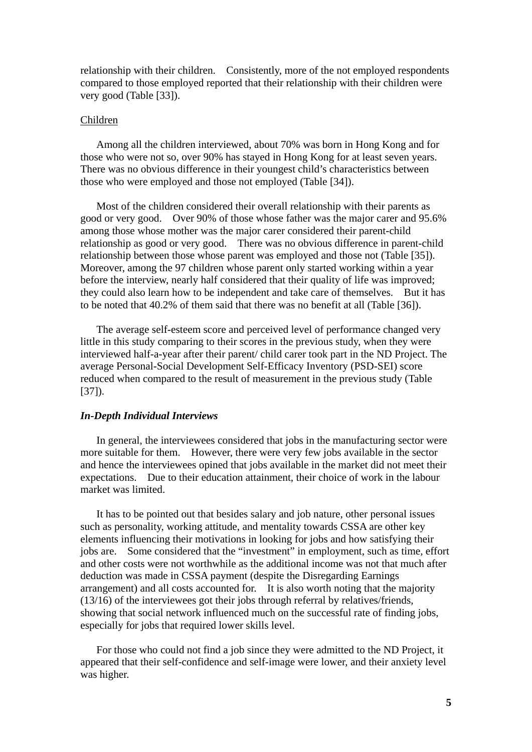relationship with their children. Consistently, more of the not employed respondents compared to those employed reported that their relationship with their children were very good (Table [33]).

#### Children

Among all the children interviewed, about 70% was born in Hong Kong and for those who were not so, over 90% has stayed in Hong Kong for at least seven years. The re was no obvious difference in their youngest child's characteristics between those who were employed and those not employed (Table [34]).

Most of the children considered their overall relationship with their parents as good or very good. Over 90% of those whose father was the major carer and 95.6% amo ng those whose mother was the major carer considered their parent-child relationship between those whose parent was employed and those not (Table [35]). they could also learn how to be independent and take care of themselves. But it has relationship as good or very good. There was no obvious difference in parent-child Moreover, among the 97 children whose parent only started working within a year before the interview, nearly half considered that their quality of life was improved; to be noted that 40.2% of them said that there was no benefit at all (Table [36]).

little in this study comparing to their scores in the previous study, when they were inte rviewed half-a-year after their parent/ child carer took part in the ND Project. The The average self-esteem score and perceived level of performance changed very average Personal-Social Development Self-Efficacy Inventory (PSD-SEI) score reduced when compared to the result of measurement in the previous study (Table [37]).

#### **In-Depth Individual Interviews**

In general, the interviewees considered that jobs in the manufacturing sector were more suitable for them. However, there were very few jobs available in the sector and hence the interviewees opined that jobs available in the market did not meet their expectations. Due to their education attainment, their choice of work in the labour market was limited.

It has to be pointed out that besides salary and job nature, other personal issues such as personality, working attitude, and mentality towards CSSA are other key elem ents influencing their motivations in looking for jobs and how satisfying their jobs are. Some considered that the "investment" in employment, such as time, effort and other costs were not worthwhile as the additional income was not that much after  $(13/16)$  of the interviewees got their jobs through referral by relatives/friends, deduction was made in CSSA payment (despite the Disregarding Earnings arrangement) and all costs accounted for. It is also worth noting that the majority showing that social network influenced much on the successful rate of finding jobs, especially for jobs that required lower skills level.

For those who could not find a job since they were admitted to the ND Project, it ppeared that their self-confidence and self-image were lower, and their anxiety level a was higher.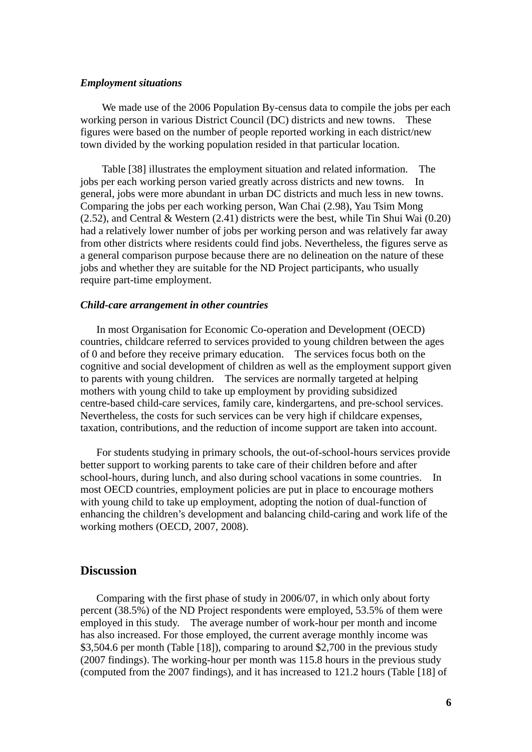#### *Employment situations*

We made use of the 2006 Population By-census data to compile the jobs per each working person in various District Council (DC) districts and new towns. These figur es were based on the number of people reported working in each district/new town divided by the working population resided in that particular location.

Table [38] illustrates the employment situation and related information. The jobs per each working person varied greatly across districts and new towns. In general, jobs were more abundant in urban DC districts and much less in new towns. had a relatively lower number of jobs per working person and was relatively far away Comparing the jobs per each working person, Wan Chai (2.98), Yau Tsim Mong (2.52), and Central & Western (2.41) districts were the best, while Tin Shui Wai (0.20) from other districts where residents could find jobs. Nevertheless, the figures serve as a general comparison purpose because there are no delineation on the nature of these jobs and whether they are suitable for the ND Project participants, who usually require part-time employment.

#### *Child-care arrangement in other countries*

In most Organisation for Economic Co-operation and Development (OECD) countries, childcare referred to services provided to young children between the ages of 0 and before they receive primary education. The services focus both on the centre-based child-care services, family care, kindergartens, and pre-school services. Nevertheless, the costs for such services can be very high if childcare expenses, cognitive and social development of children as well as the employment support given to parents with young children. The services are normally targeted at helping mothers with young child to take up employment by providing subsidized taxation, contributions, and the reduction of income support are taken into account.

better support to working parents to take care of their children before and after sch ool-hours, during lunch, and also during school vacations in some countries. In most OECD countries, employment policies are put in place to encourage mothers enhancing the children's development and balancing child-caring and work life of the For students studying in primary schools, the out-of-school-hours services provide with young child to take up employment, adopting the notion of dual-function of working mothers (OECD, 2007, 2008).

### **Discussion**

Comparing with the first phase of study in 2006/07, in which only about forty percent (38.5%) of the ND Project respondents were employed, 53.5% of them were emp loyed in this study. The average number of work-hour per month and income (2007 findings). The working-hour per month was 115.8 hours in the previous study (computed from the 2007 findings), and it has increased to 121.2 hours (Table [18] of has also increased. For those employed, the current average monthly income was \$3,504.6 per month (Table [18]), comparing to around \$2,700 in the previous study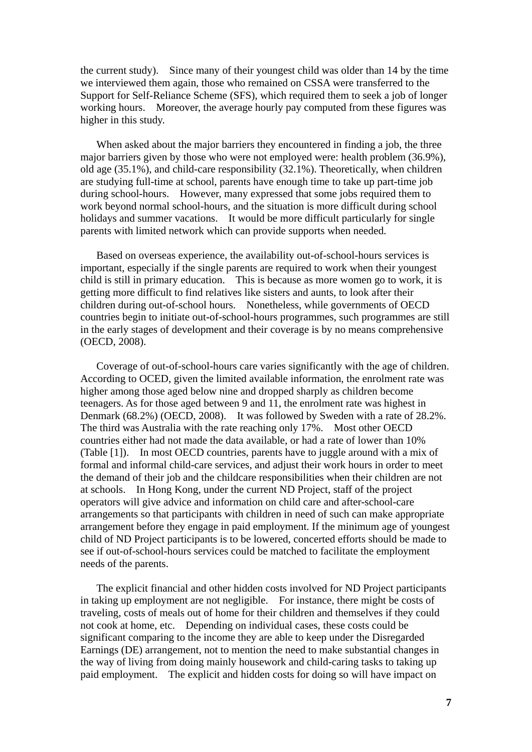the current study). Since many of their youngest child was older than 14 by the time we interviewed them again, those who remained on CSSA were transferred to the Support for Self-Reliance Scheme (SFS), which required them to seek a job of longer working hours. Moreover, the average hourly pay computed from these figures w as higher in this study.

When asked about the major barriers they encountered in finding a job, the three major barriers given by those who were not employed were: health problem (36.9%), old age (35.1%), and child-care responsibility (32.1%). Theoretically, when children are studying full-time at school, parents have enough time to take up part-time job during school-hours. However, many expressed that some jobs required them to work beyond normal school-hours, and the situation is more difficult during school holidays and summer vacations. It would be more difficult particularly for single parents with limited network which can provide supports when needed.

Based on overseas experience, the availability out-of-school-hours services is important, especially if the single parents are required to work when their youngest child is still in primary education. This is because as more women go to work, it is countries begin to initiate out-of-school-hours programmes, such programmes are still in the early stages of development and their coverage is by no means comprehensive getting more difficult to find relatives like sisters and aunts, to look after their children during out-of-school hours. Nonetheless, while governments of OECD (OECD, 2008).

Coverage of out-of-school-hours care varies significantly with the age of children. According to OCED, given the limited available information, the enrolment rate was hig her among those aged below nine and dropped sharply as children become Denmark (68.2%) (OECD, 2008). It was followed by Sweden with a rate of 28.2%. (Table [1]). In most OECD countries, parents have to juggle around with a mix of formal and informal child-care services, and adjust their work hours in order to meet arrangements so that participants with children in need of such can make appropriate arrangement before they engage in paid employment. If the minimum age of youngest teenagers. As for those aged between 9 and 11, the enrolment rate was highest in The third was Australia with the rate reaching only 17%. Most other OECD countries either had not made the data available, or had a rate of lower than 10% the demand of their job and the childcare responsibilities when their children are not at schools. In Hong Kong, under the current ND Project, staff of the project operators will give advice and information on child care and after-school-care child of ND Project participants is to be lowered, concerted efforts should be made to see if out-of-school-hours services could be matched to facilitate the employment needs of the parents.

The explicit financial and other hidden costs involved for ND Project participants in taking up employment are not negligible. For instance, there might be costs of trav eling, costs of meals out of home for their children and themselves if they could Earnings (DE) arrangement, not to mention the need to make substantial changes in the way of living from doing mainly housework and child-caring tasks to taking up not cook at home, etc. Depending on individual cases, these costs could be significant comparing to the income they are able to keep under the Disregarded paid employment. The explicit and hidden costs for doing so will have impact on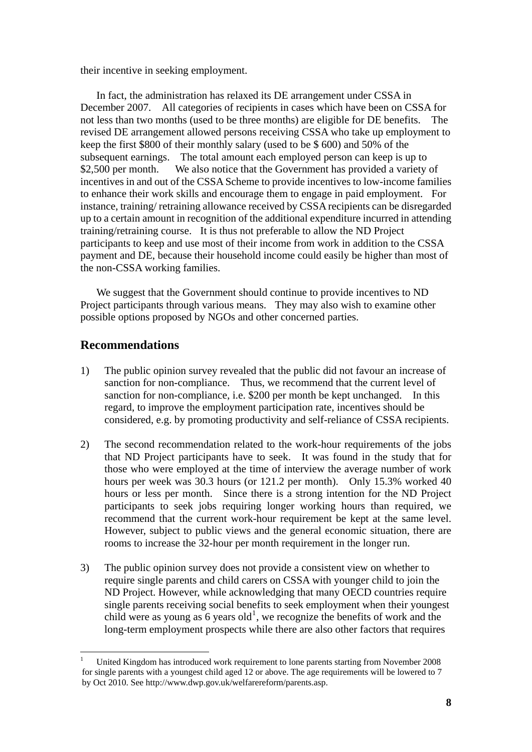<span id="page-14-0"></span>their incentive in seeking employment.

In fact, the administration has relaxed its DE arrangement under CSSA in December 2007. All categories of recipients in cases which have been on CSSA for not less than two months (used to be three months) are eligible for DE benefits. The \$2,500 per month. We also notice that the Government has provided a variety of incentives in and out of the CSSA Scheme to provide incentives to low-income families to enhance their work skills and encourage them to engage in paid employment. For payment and DE, because their household income could easily be higher than most of revised DE arrangement allowed persons receiving CSSA who take up employment to keep the first \$800 of their monthly salary (used to be \$ 600) and 50% of the subsequent earnings. The total amount each employed person can keep is up to instance, training/ retraining allowance received by CSSA recipients can be disregarded up to a certain amount in recognition of the additional expenditure incurred in attending training/retraining course. It is thus not preferable to allow the ND Project participants to keep and use most of their income from work in addition to the CSSA the non-CSSA working families.

We suggest that the Government should continue to provide incentives to ND Project participants through various means. They may also wish to examine other pos sible options proposed by NGOs and other concerned parties.

## **Recommendations**

1

- 1) The public opinion survey revealed that the public did not favour an increase of sanction for non-compliance. Thus, we recommend that the current level of . considered, e.g. by promoting productivity and self-reliance of CSSA recipients sanction for non-compliance, i.e. \$200 per month be kept unchanged. In this regard, to improve the employment participation rate, incentives should be
- 2) that ND Project participants have to seek. It was found in the study that for The second recommendation related to the work-hour requirements of the jobs those who were employed at the time of interview the average number of work hours per week was 30.3 hours (or 121.2 per month). Only 15.3% worked 40 hours or less per month. Since there is a strong intention for the ND Project participants to seek jobs requiring longer working hours than required, we recommend that the current work-hour requirement be kept at the same level. However, subject to public views and the general economic situation, there are rooms to increase the 32-hour per month requirement in the longer run.
- 3) The public opinion survey does not provide a consistent view on whether to require single parents and child carers on CSSA with younger child to join the ND Project. However, while acknowledging that many OECD countries require single parents receiving social benefits to seek employment when their youngest child were as young as  $6$  years old<sup>[1](#page-14-0)</sup>, we recognize the benefits of work and the long-term employment prospects while there are also other factors that requires

<sup>1</sup> United Kingdom has introduced work requirement to lone parents starting from November 2008 for single parents with a youngest child aged 12 or above. The age requirements will be lowered to 7 by Oct 2010. See [http://www.dwp.gov.uk/welfarereform/parents.asp.](http://www.dwp.gov.uk/welfarereform/parents.asp)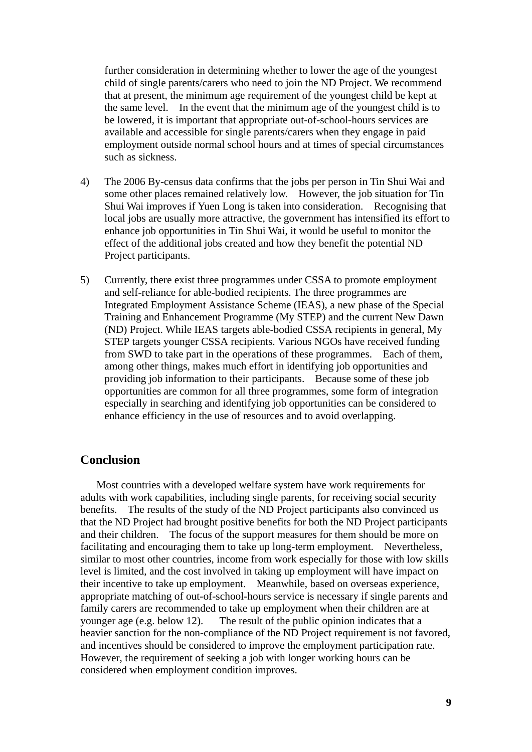further consideration in determining whether to lower the age of the youngest child of single parents/carers who need to join the ND Project. We recommend that at present, the minimum age requirement of the youngest child be kept at the same level. In the event that the minimum age of the youngest child is to be lowered, it is important that appropriate out-of-school-hours services are available and accessible for single parents/carers when they engage in paid employment outside normal school hours and at times of special circumstances such as sickness.

- ) The 2006 By-census data confirms that the jobs per person in Tin Shui Wai and 4 some other places remained relatively low. However, the job situation for Tin Shui Wai improves if Yuen Long is taken into consideration. Recognising that local jobs are usually more attractive, the government has intensified its effort to enhance job opportunities in Tin Shui Wai, it would be useful to monitor the effect of the additional jobs created and how they benefit the potential ND Project participants.
- ) Currently, there exist three programmes under CSSA to promote employment Integrated Employment Assistance Scheme (IEAS), a new phase of the Special 5 and self-reliance for able-bodied recipients. The three programmes are Training and Enhancement Programme (My STEP) and the current New Dawn (ND) Project. While IEAS targets able-bodied CSSA recipients in general, My STEP targets younger CSSA recipients. Various NGOs have received funding from SWD to take part in the operations of these programmes. Each of them, among other things, makes much effort in identifying job opportunities and providing job information to their participants. Because some of these job opportunities are common for all three programmes, some form of integration especially in searching and identifying job opportunities can be considered to enhance efficiency in the use of resources and to avoid overlapping.

### **onclusion C**

Most countries with a developed welfare system have work requirements for adults with work capabilities, including single parents, for receiving social security that the ND Project had brought positive benefits for both the ND Project participants heavier sanction for the non-compliance of the ND Project requirement is not favored, considered when employment condition improves. benefits. The results of the study of the ND Project participants also convinced us and their children. The focus of the support measures for them should be more on facilitating and encouraging them to take up long-term employment. Nevertheless, similar to most other countries, income from work especially for those with low skills level is limited, and the cost involved in taking up employment will have impact on their incentive to take up employment. Meanwhile, based on overseas experience, appropriate matching of out-of-school-hours service is necessary if single parents and family carers are recommended to take up employment when their children are at younger age (e.g. below 12). The result of the public opinion indicates that a and incentives should be considered to improve the employment participation rate. However, the requirement of seeking a job with longer working hours can be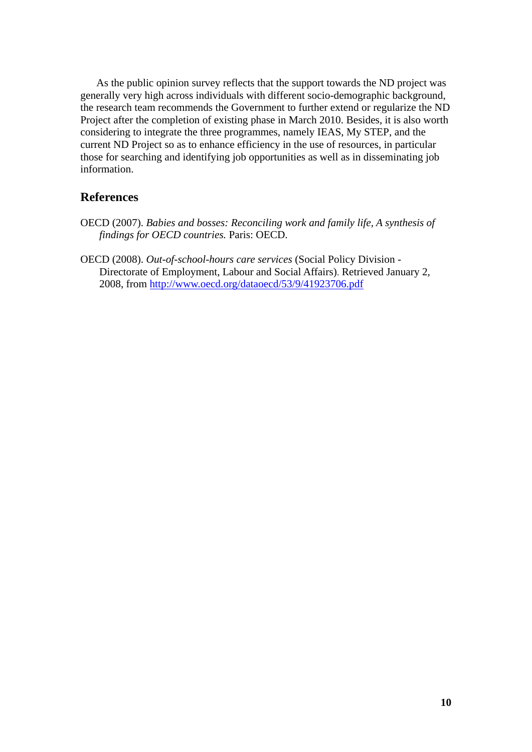As the public opinion survey reflects that the support towards the ND project was generally very high across individuals with different socio-demographic background, the research team recommends the Government to further extend or regularize the ND those for searching and identifying job opportunities as well as in disseminating job Project after the completion of existing phase in March 2010. Besides, it is also worth considering to integrate the three programmes, namely IEAS, My STEP, and the current ND Project so as to enhance efficiency in the use of resources, in particular information.

### **References**

- *Babies and bosses: Reconciling work and family life, A synthesis of*  OECD (2007). *findings for OECD countries.* Paris: OECD.
- OECD (2008). Out-of-school-hours care services (Social Policy Division -Directorate of Employment, Labour and Social Affairs). Retrieved January 2, 2008, from <http://www.oecd.org/dataoecd/53/9/41923706.pdf>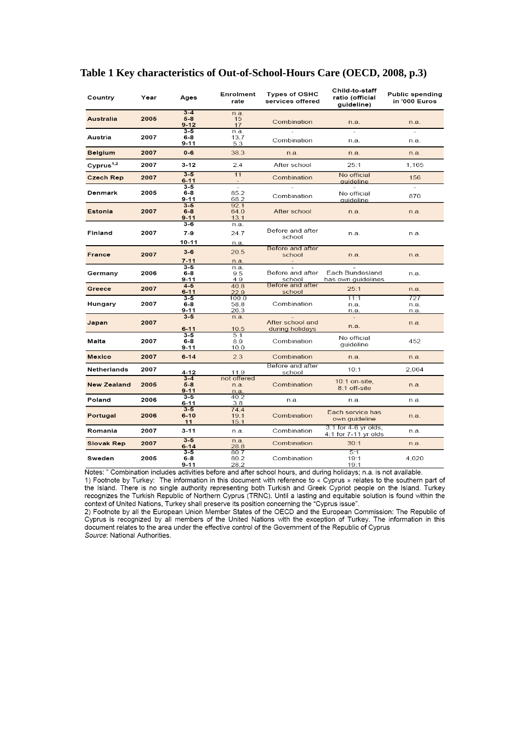| Country            | Year | Ages                | Enrolment<br>rate | <b>Types of OSHC</b><br>services offered | Child-to-staff<br>ratio (official<br>quideline) | <b>Public spending</b><br>in '000 Euros |
|--------------------|------|---------------------|-------------------|------------------------------------------|-------------------------------------------------|-----------------------------------------|
|                    |      | $3 - 4$             | n.a.              |                                          |                                                 |                                         |
| <b>Australia</b>   | 2005 | $5-8$<br>$9 - 12$   | 15<br>17          | Combination                              | n.a.                                            | n.a.                                    |
|                    |      | $3 - 5$             | n.a.              |                                          |                                                 |                                         |
| Austria            | 2007 | $6-8$               | 13.7              | Combination                              | n.a.                                            | n.a.                                    |
|                    |      | 9-11                | 5.3               |                                          |                                                 |                                         |
| <b>Belgium</b>     | 2007 | $0-6$               | 38.3              | n.a.                                     | n.a.                                            | n.a.                                    |
| Cyprus $1,2$       | 2007 | $3 - 12$            | 2.4               | After school                             | 25:1                                            | 1,165                                   |
| <b>Czech Rep</b>   | 2007 | $3 - 5$             | 11                | Combination                              | No official                                     | 156                                     |
|                    |      | $6 - 11$<br>$3-5$   |                   |                                          | auideline                                       |                                         |
| Denmark            | 2005 | 6-8                 | 85.2              |                                          | No official                                     |                                         |
|                    |      | $9 - 11$            | 68.2              | Combination                              | auideline                                       | 870                                     |
|                    |      | $3 - 5$             | 92.1              |                                          |                                                 |                                         |
| Estonia            | 2007 | $6-8$<br>$9 - 11$   | 64.0<br>13.1      | After school                             | n.a.                                            | n.a.                                    |
|                    |      | 3-6                 | n.a.              |                                          |                                                 |                                         |
| Finland            | 2007 | $7 - 9$             | 24.7              | Before and after                         | n.a.                                            | n.a.                                    |
|                    |      | $10 - 11$           |                   | school                                   |                                                 |                                         |
|                    |      |                     | n.a.              | Before and after                         |                                                 |                                         |
| <b>France</b>      | 2007 | $3 - 6$             | 20.5              | school                                   | n.a.                                            | n.a.                                    |
|                    |      | $7 - 11$            | n.a.              |                                          |                                                 |                                         |
| Germany            | 2006 | $3 - 5$<br>6-8      | n.a.<br>9.5       | Before and after                         | Each Bundesland                                 | n.a.                                    |
|                    |      | $9 - 11$            | 4.9               | school                                   | has own quidelines                              |                                         |
| Greece             | 2007 | $4 - 5$             | 40.8              | Before and after                         | 25:1                                            | n.a.                                    |
|                    |      | $6 - 11$<br>$3 - 5$ | 22.9              | school                                   |                                                 | 727                                     |
| Hungary            | 2007 | 6-8                 | 100.0<br>58.8     | Combination                              | 11:1<br>n.a.                                    | n.a.                                    |
|                    |      | 9-11                | 26.3              |                                          | n.a.                                            | n.a.                                    |
|                    |      | $3 - 5$             | n.a.              |                                          | $\overline{\phantom{a}}$                        |                                         |
| Japan              | 2007 | $6 - 11$            | 10.5              | After school and<br>during holidays      | n.a.                                            | n.a.                                    |
|                    |      | $3 - 5$             | 5.1               |                                          |                                                 |                                         |
| Malta              | 2007 | 6-8                 | 8.9               | Combination                              | No official<br>quideline                        | 452                                     |
|                    |      | 9-11                | 10.0              |                                          |                                                 |                                         |
| <b>Mexico</b>      | 2007 | $6 - 14$            | 2.3               | Combination                              | n.a.                                            | n.a.                                    |
| <b>Netherlands</b> | 2007 | $4 - 12$            | 11.9              | Before and after<br>school               | 10:1                                            | 2,064                                   |
|                    |      | $3-4$               | not offered       |                                          | $10:1$ on-site,                                 |                                         |
| <b>New Zealand</b> | 2005 | $5-8$<br>$9 - 11$   | n.a.<br>n.a       | Combination                              | 8:1 off-site                                    | n.a.                                    |
| Poland             | 2006 | $3 - 5$             | 40.2              |                                          |                                                 | n.a.                                    |
|                    |      | $6 - 11$            | 3.8               | n.a.                                     | n.a.                                            |                                         |
| Portugal           | 2006 | $3 - 5$<br>$6 - 10$ | 74.4<br>19.1      | Combination                              | Each service has                                | n.a.                                    |
|                    |      | 11                  | 15.1              |                                          | own guideline                                   |                                         |
| Romania            | 2007 | $3 - 11$            | n.a.              | Combination                              | 3:1 for 4-6 yr olds,<br>4:1 for 7-11 yr olds    | n.a.                                    |
| <b>Slovak Rep</b>  | 2007 | $3 - 5$             | n.a.              | Combination                              | 30:1                                            | n.a.                                    |
|                    |      | $6 - 14$<br>$3 - 5$ | 28.8<br>80.7      |                                          | 5:1                                             |                                         |
| Sweden             | 2005 | $6-8$               | 80.2              | Combination                              | 19:1                                            | 4,020                                   |
|                    |      | 9-11                | 28.2              |                                          | 19:1                                            |                                         |

#### **Table 1 Key characteristics of Out-of-School-Hours Care (OECD, 2008, p.3)**

Notes: " Combination includes activities before and after school hours, and during holidays; n.a. is not available. 1) Footnote by Turkey: The information in this document with reference to « Cyprus » relates to the southern part of the Island. There is no single authority representing both Turkish and Greek Cypriot people on the Island recognizes the Turkish Republic of Northern Cyprus (TRNC). Until a lasting and equitable solution is found within the context of United Nations, Turkey shall preserve its position concerning the "Cyprus issue".

2) Footnote by all the European Union Member States of the OECD and the European Commission: The Republic of Cyprus is recognized by all members of the United Nations with the exception of Turkey. The information in this document relates to the area under the effective control of the Government of the Republic of Cyprus Source: National Authorities.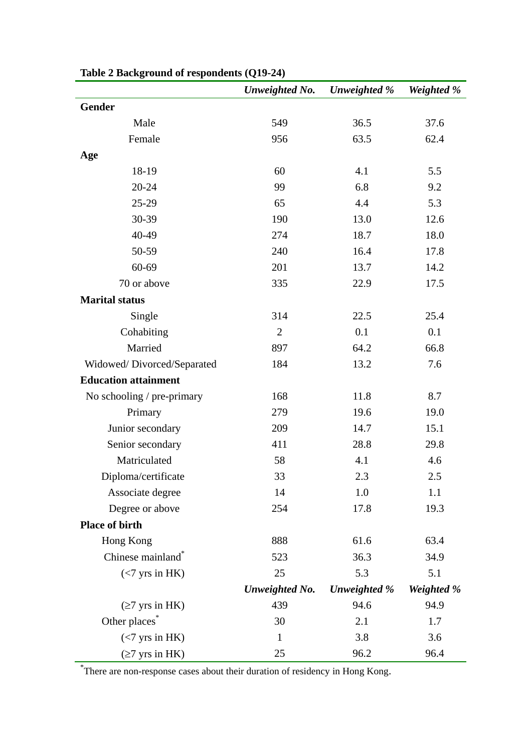|                               | Unweighted No.        | Unweighted % | Weighted % |
|-------------------------------|-----------------------|--------------|------------|
| Gender                        |                       |              |            |
| Male                          | 549                   | 36.5         | 37.6       |
| Female                        | 956                   | 63.5         | 62.4       |
| Age                           |                       |              |            |
| 18-19                         | 60                    | 4.1          | 5.5        |
| $20 - 24$                     | 99                    | 6.8          | 9.2        |
| 25-29                         | 65                    | 4.4          | 5.3        |
| 30-39                         | 190                   | 13.0         | 12.6       |
| 40-49                         | 274                   | 18.7         | 18.0       |
| 50-59                         | 240                   | 16.4         | 17.8       |
| 60-69                         | 201                   | 13.7         | 14.2       |
| 70 or above                   | 335                   | 22.9         | 17.5       |
| <b>Marital status</b>         |                       |              |            |
| Single                        | 314                   | 22.5         | 25.4       |
| Cohabiting                    | $\overline{2}$        | 0.1          | 0.1        |
| Married                       | 897                   | 64.2         | 66.8       |
| Widowed/Divorced/Separated    | 184                   | 13.2         | 7.6        |
| <b>Education attainment</b>   |                       |              |            |
| No schooling / pre-primary    | 168                   | 11.8         | 8.7        |
| Primary                       | 279                   | 19.6         | 19.0       |
| Junior secondary              | 209                   | 14.7         | 15.1       |
| Senior secondary              | 411                   | 28.8         | 29.8       |
| Matriculated                  | 58                    | 4.1          | 4.6        |
| Diploma/certificate           | 33                    | 2.3          | 2.5        |
| Associate degree              | 14                    | 1.0          | 1.1        |
| Degree or above               | 254                   | 17.8         | 19.3       |
| Place of birth                |                       |              |            |
| Hong Kong                     | 888                   | 61.6         | 63.4       |
| Chinese mainland <sup>®</sup> | 523                   | 36.3         | 34.9       |
| $(<7$ yrs in HK)              | 25                    | 5.3          | 5.1        |
|                               | <b>Unweighted No.</b> | Unweighted % | Weighted % |
| $(\geq 7$ yrs in HK)          | 439                   | 94.6         | 94.9       |
| Other places <sup>*</sup>     | 30                    | 2.1          | 1.7        |
| $(<7$ yrs in HK)              | $\mathbf{1}$          | 3.8          | 3.6        |
| $(\geq 7$ yrs in HK)          | 25                    | 96.2         | 96.4       |

**Table 2 Background of respondents (Q19-24)** 

\* There are non-response cases about their duration of residency in Hong Kong.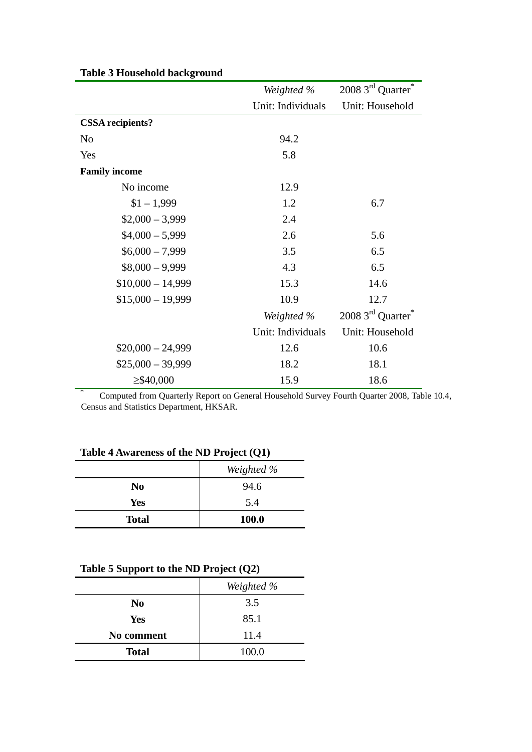|                         | Weighted %        | 2008 3rd Quarter <sup>*</sup> |
|-------------------------|-------------------|-------------------------------|
|                         | Unit: Individuals | Unit: Household               |
| <b>CSSA</b> recipients? |                   |                               |
| N <sub>0</sub>          | 94.2              |                               |
| Yes                     | 5.8               |                               |
| <b>Family income</b>    |                   |                               |
| No income               | 12.9              |                               |
| $$1 - 1,999$            | 1.2               | 6.7                           |
| $$2,000 - 3,999$        | 2.4               |                               |
| $$4,000 - 5,999$        | 2.6               | 5.6                           |
| $$6,000 - 7,999$        | 3.5               | 6.5                           |
| $$8,000 - 9,999$        | 4.3               | 6.5                           |
| $$10,000 - 14,999$      | 15.3              | 14.6                          |
| $$15,000 - 19,999$      | 10.9              | 12.7                          |
|                         | Weighted %        | 2008 3rd Quarter <sup>*</sup> |
|                         | Unit: Individuals | Unit: Household               |
| $$20,000 - 24,999$      | 12.6              | 10.6                          |
| $$25,000 - 39,999$      | 18.2              | 18.1                          |
| $\geq$ \$40,000         | 15.9              | 18.6                          |

#### **Table 3 Household background**

\* Computed from Quarterly Report on General Household Survey Fourth Quarter 2008, Table 10.4, Census and Statistics Department, HKSAR.

#### **Table 4 Awareness of the ND Project (Q1)**

|                | Weighted %   |
|----------------|--------------|
| N <sub>0</sub> | 94.6         |
| Yes            | 5.4          |
| <b>Total</b>   | <b>100.0</b> |

## **Table 5 Support to the ND Project (Q2)**

|                | Weighted % |
|----------------|------------|
| N <sub>0</sub> | 3.5        |
| <b>Yes</b>     | 85.1       |
| No comment     | 11.4       |
| <b>Total</b>   | 100.0      |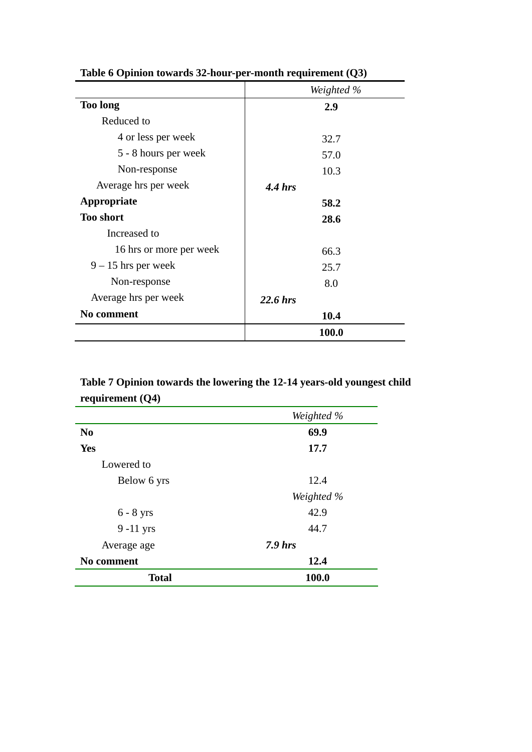|                         | Weighted % |
|-------------------------|------------|
| <b>Too long</b>         | 2.9        |
| Reduced to              |            |
| 4 or less per week      | 32.7       |
| 5 - 8 hours per week    | 57.0       |
| Non-response            | 10.3       |
| Average hrs per week    | $4.4$ hrs  |
| Appropriate             | 58.2       |
| <b>Too short</b>        | 28.6       |
| Increased to            |            |
| 16 hrs or more per week | 66.3       |
| $9 - 15$ hrs per week   | 25.7       |
| Non-response            | 8.0        |
| Average hrs per week    | $22.6$ hrs |
| <b>No comment</b>       | 10.4       |
|                         | 100.0      |

**Table 6 Opinion towards 32-hour-per-month requirement (Q3)** 

# **Table 7 Opinion towards the lowering the 12-14 years-old youngest child requirement (Q4)**

|                | Weighted % |
|----------------|------------|
| N <sub>0</sub> | 69.9       |
| Yes            | 17.7       |
| Lowered to     |            |
| Below 6 yrs    | 12.4       |
|                | Weighted % |
| $6 - 8$ yrs    | 42.9       |
| $9-11$ yrs     | 44.7       |
| Average age    | $7.9$ hrs  |
| No comment     | 12.4       |
| <b>Total</b>   | 100.0      |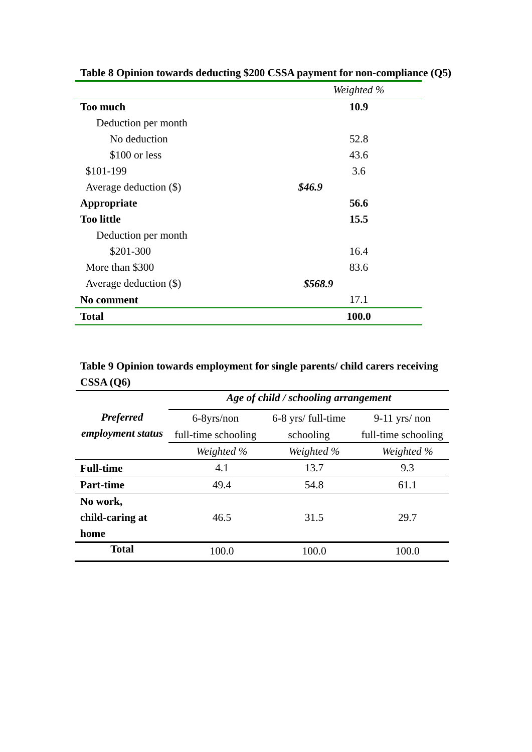|                          | Weighted % |
|--------------------------|------------|
| <b>Too much</b>          | 10.9       |
| Deduction per month      |            |
| No deduction             | 52.8       |
| \$100 or less            | 43.6       |
| \$101-199                | 3.6        |
| Average deduction (\$)   | \$46.9     |
| Appropriate              | 56.6       |
| <b>Too little</b>        | 15.5       |
| Deduction per month      |            |
| \$201-300                | 16.4       |
| More than \$300          | 83.6       |
| Average deduction $(\$)$ | \$568.9    |
| No comment               | 17.1       |
| <b>Total</b>             | 100.0      |

**Table 8 Opinion towards deducting \$200 CSSA payment for non-compliance (Q5)** 

**Table 9 Opinion towards employment for single parents/ child carers receiving CSSA (Q6)** 

|                   | Age of child / schooling arrangement |                    |                     |  |  |
|-------------------|--------------------------------------|--------------------|---------------------|--|--|
| <b>Preferred</b>  | 6-8yrs/non                           | 6-8 yrs/ full-time | $9-11$ yrs/ non     |  |  |
| employment status | full-time schooling                  | schooling          | full-time schooling |  |  |
|                   | Weighted %                           | Weighted %         | Weighted %          |  |  |
| <b>Full-time</b>  | 4.1                                  | 13.7               | 9.3                 |  |  |
| <b>Part-time</b>  | 49.4                                 | 54.8               | 61.1                |  |  |
| No work,          |                                      |                    |                     |  |  |
| child-caring at   | 46.5                                 | 31.5               | 29.7                |  |  |
| home              |                                      |                    |                     |  |  |
| <b>Total</b>      | 100.0                                | 100.0              | 100.0               |  |  |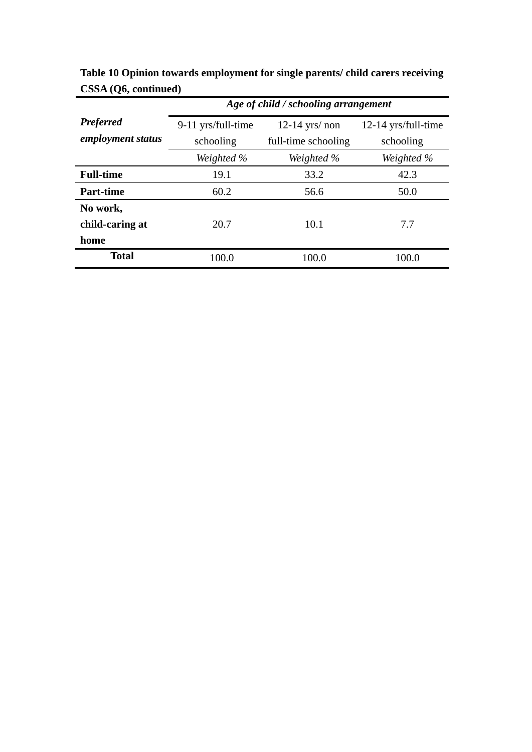|                                       | Age of child / schooling arrangement                                       |            |                                  |  |  |
|---------------------------------------|----------------------------------------------------------------------------|------------|----------------------------------|--|--|
| <b>Preferred</b><br>employment status | $12-14$ yrs/ non<br>9-11 yrs/full-time<br>schooling<br>full-time schooling |            | 12-14 yrs/full-time<br>schooling |  |  |
|                                       | Weighted %                                                                 | Weighted % | Weighted %                       |  |  |
| <b>Full-time</b>                      | 19.1                                                                       | 33.2       | 42.3                             |  |  |
| <b>Part-time</b>                      | 60.2                                                                       | 56.6       | 50.0                             |  |  |
| No work,<br>child-caring at           | 20.7                                                                       | 10.1       | 7.7                              |  |  |
| home                                  |                                                                            |            |                                  |  |  |
| <b>Total</b>                          | 100.0                                                                      | 100.0      | 100.0                            |  |  |

**Table 10 Opinion towards employment for single parents/ child carers receiving CSSA (Q6, continued)**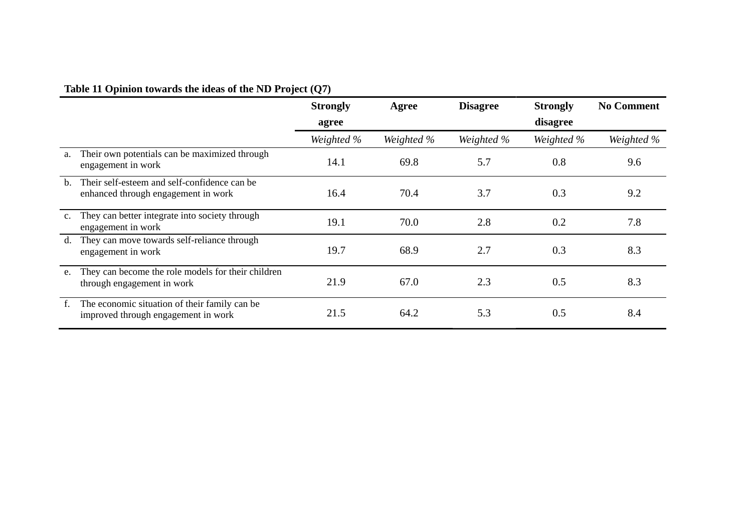# **Table 11 Opinion towards the ideas of the ND Project (Q7)**

|             |                                                                                      | <b>Strongly</b> | Agree      | <b>Disagree</b> | <b>Strongly</b> | <b>No Comment</b> |
|-------------|--------------------------------------------------------------------------------------|-----------------|------------|-----------------|-----------------|-------------------|
|             |                                                                                      | agree           |            |                 | disagree        |                   |
|             |                                                                                      | Weighted %      | Weighted % | Weighted %      | Weighted %      | Weighted %        |
| a.          | Their own potentials can be maximized through<br>engagement in work                  | 14.1            | 69.8       | 5.7             | 0.8             | 9.6               |
| $h_{\cdot}$ | Their self-esteem and self-confidence can be<br>enhanced through engagement in work  | 16.4            | 70.4       | 3.7             | 0.3             | 9.2               |
| $c_{\cdot}$ | They can better integrate into society through<br>engagement in work                 | 19.1            | 70.0       | 2.8             | 0.2             | 7.8               |
| d.          | They can move towards self-reliance through<br>engagement in work                    | 19.7            | 68.9       | 2.7             | 0.3             | 8.3               |
| e.          | They can become the role models for their children<br>through engagement in work     | 21.9            | 67.0       | 2.3             | 0.5             | 8.3               |
| f.          | The economic situation of their family can be<br>improved through engagement in work | 21.5            | 64.2       | 5.3             | 0.5             | 8.4               |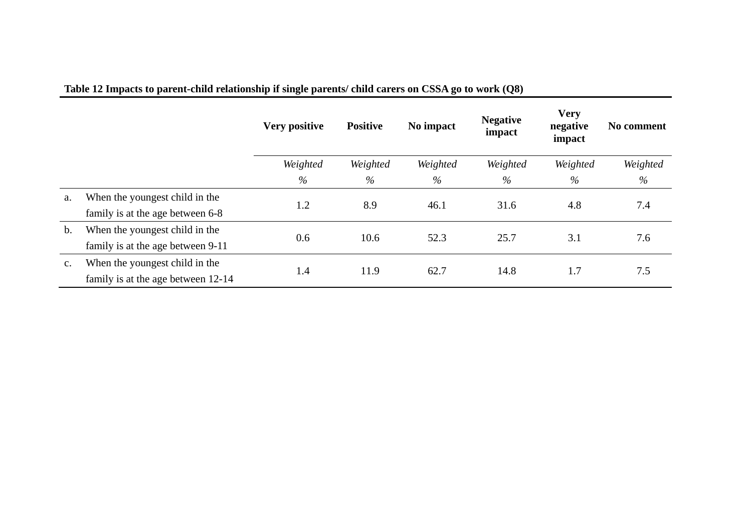|               |                                    | Very positive | <b>Positive</b> | No impact | <b>Negative</b><br>impact | <b>Very</b><br>negative<br>impact | No comment |
|---------------|------------------------------------|---------------|-----------------|-----------|---------------------------|-----------------------------------|------------|
|               |                                    | Weighted      | Weighted        | Weighted  | Weighted                  | Weighted                          | Weighted   |
|               |                                    | $\%$          | $\%$            | %         | $\%$                      | %                                 | %          |
| a.            | When the youngest child in the     | 1.2           | 8.9             | 46.1      | 31.6                      | 4.8                               | 7.4        |
|               | family is at the age between 6-8   |               |                 |           |                           |                                   |            |
| $\mathbf b$ . | When the youngest child in the     | 0.6           | 10.6            | 52.3      | 25.7                      | 3.1                               | 7.6        |
|               | family is at the age between 9-11  |               |                 |           |                           |                                   |            |
| $C_{\bullet}$ | When the youngest child in the     | 1.4           | 11.9            | 62.7      | 14.8                      | 1.7                               | 7.5        |
|               | family is at the age between 12-14 |               |                 |           |                           |                                   |            |

# **Table 12 Impacts to parent-child relationship if single parents/ child carers on CSSA go to work (Q8)**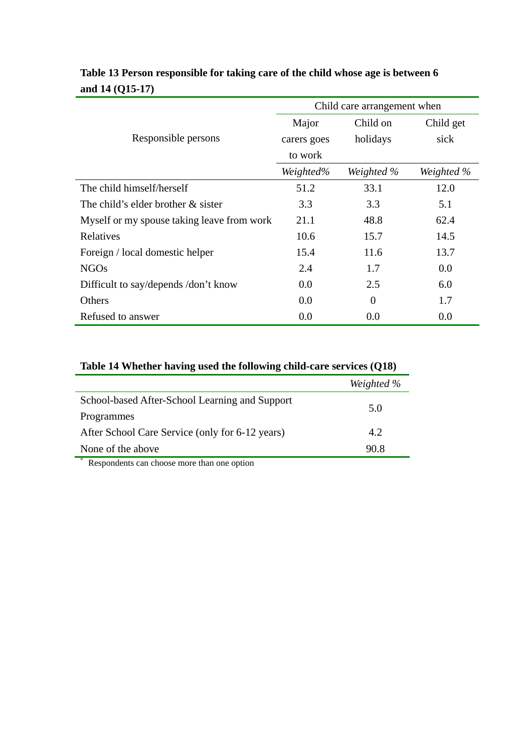|                                            |             | Child care arrangement when |            |
|--------------------------------------------|-------------|-----------------------------|------------|
|                                            | Major       | Child on                    | Child get  |
| Responsible persons                        | carers goes | holidays                    | sick       |
|                                            | to work     |                             |            |
|                                            | Weighted%   | Weighted %                  | Weighted % |
| The child himself/herself                  | 51.2        | 33.1                        | 12.0       |
| The child's elder brother & sister         | 3.3         | 3.3                         | 5.1        |
| Myself or my spouse taking leave from work | 21.1        | 48.8                        | 62.4       |
| Relatives                                  | 10.6        | 15.7                        | 14.5       |
| Foreign / local domestic helper            | 15.4        | 11.6                        | 13.7       |
| <b>NGOs</b>                                | 2.4         | 1.7                         | 0.0        |
| Difficult to say/depends /don't know       | 0.0         | 2.5                         | 6.0        |
| Others                                     | 0.0         | $\theta$                    | 1.7        |
| Refused to answer                          | 0.0         | 0.0                         | 0.0        |

## **Table 13 Person responsible for taking care of the child whose age is between 6 and 14 (Q15-17)**

### **Table 14 Whether having used the following child-care services (Q18)**

|                                                 | Weighted % |
|-------------------------------------------------|------------|
| School-based After-School Learning and Support  | 5.0        |
| Programmes                                      |            |
| After School Care Service (only for 6-12 years) | 4.2        |
| None of the above<br>- 20                       | 90.8       |

Respondents can choose more than one option

 $\overline{\phantom{a}}$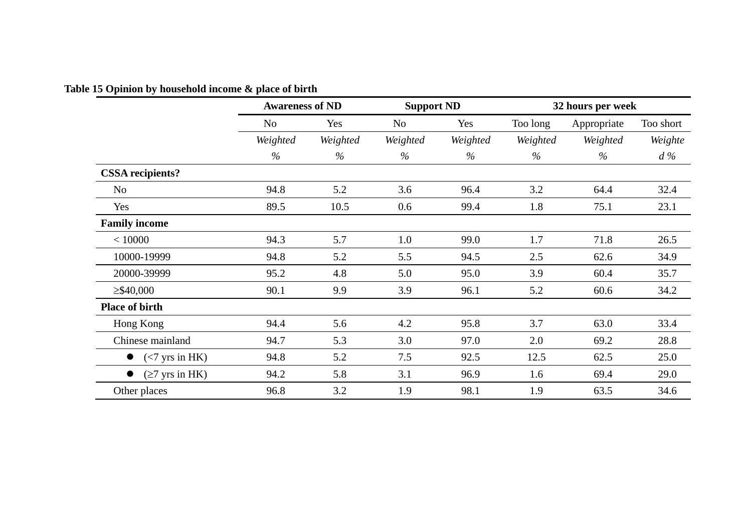# **Table 15 Opinion by household income & place of birth**

|                                        | <b>Awareness of ND</b> |          | <b>Support ND</b> |          | 32 hours per week |             |           |  |
|----------------------------------------|------------------------|----------|-------------------|----------|-------------------|-------------|-----------|--|
|                                        | N <sub>o</sub>         | Yes      | N <sub>o</sub>    | Yes      | Too long          | Appropriate | Too short |  |
|                                        | Weighted               | Weighted | Weighted          | Weighted | Weighted          | Weighted    | Weighte   |  |
|                                        | %                      | $\%$     | $\%$              | $\%$     | $\%$              | $\%$        | $d\%$     |  |
| <b>CSSA</b> recipients?                |                        |          |                   |          |                   |             |           |  |
| N <sub>o</sub>                         | 94.8                   | 5.2      | 3.6               | 96.4     | 3.2               | 64.4        | 32.4      |  |
| Yes                                    | 89.5                   | 10.5     | 0.6               | 99.4     | 1.8               | 75.1        | 23.1      |  |
| <b>Family income</b>                   |                        |          |                   |          |                   |             |           |  |
| < 10000                                | 94.3                   | 5.7      | 1.0               | 99.0     | 1.7               | 71.8        | 26.5      |  |
| 10000-19999                            | 94.8                   | 5.2      | 5.5               | 94.5     | 2.5               | 62.6        | 34.9      |  |
| 20000-39999                            | 95.2                   | 4.8      | 5.0               | 95.0     | 3.9               | 60.4        | 35.7      |  |
| $\geq$ \$40,000                        | 90.1                   | 9.9      | 3.9               | 96.1     | 5.2               | 60.6        | 34.2      |  |
| <b>Place of birth</b>                  |                        |          |                   |          |                   |             |           |  |
| Hong Kong                              | 94.4                   | 5.6      | 4.2               | 95.8     | 3.7               | 63.0        | 33.4      |  |
| Chinese mainland                       | 94.7                   | 5.3      | 3.0               | 97.0     | 2.0               | 69.2        | 28.8      |  |
| $(< 7 \text{ yrs in HK})$<br>$\bullet$ | 94.8                   | 5.2      | 7.5               | 92.5     | 12.5              | 62.5        | 25.0      |  |
| $(\geq 7$ yrs in HK)<br>$\bullet$      | 94.2                   | 5.8      | 3.1               | 96.9     | 1.6               | 69.4        | 29.0      |  |
| Other places                           | 96.8                   | 3.2      | 1.9               | 98.1     | 1.9               | 63.5        | 34.6      |  |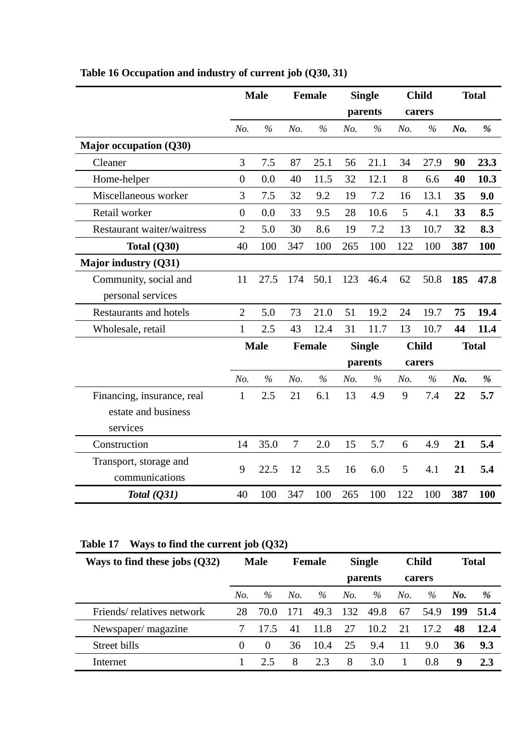|                                          |                | <b>Male</b>   |        | Female        |     | <b>Single</b> |     | <b>Child</b>  |     | <b>Total</b> |
|------------------------------------------|----------------|---------------|--------|---------------|-----|---------------|-----|---------------|-----|--------------|
|                                          |                |               |        |               |     | parents       |     | carers        |     |              |
|                                          | No.            | $\frac{6}{6}$ | No.    | $\frac{6}{6}$ | No. | $\frac{6}{6}$ | No. | $\frac{0}{0}$ | No. | $\%$         |
| <b>Major occupation (Q30)</b>            |                |               |        |               |     |               |     |               |     |              |
| Cleaner                                  | $\overline{3}$ | 7.5           | 87     | 25.1          | 56  | 21.1          | 34  | 27.9          | 90  | 23.3         |
| Home-helper                              | $\overline{0}$ | 0.0           | 40     | 11.5          | 32  | 12.1          | 8   | 6.6           | 40  | 10.3         |
| Miscellaneous worker                     | 3              | 7.5           | 32     | 9.2           | 19  | 7.2           | 16  | 13.1          | 35  | 9.0          |
| Retail worker                            | $\overline{0}$ | 0.0           | 33     | 9.5           | 28  | 10.6          | 5   | 4.1           | 33  | 8.5          |
| <b>Restaurant waiter/waitress</b>        | $\overline{2}$ | 5.0           | 30     | 8.6           | 19  | 7.2           | 13  | 10.7          | 32  | 8.3          |
| Total (Q30)                              | 40             | 100           | 347    | 100           | 265 | 100           | 122 | 100           | 387 | 100          |
| Major industry (Q31)                     |                |               |        |               |     |               |     |               |     |              |
| Community, social and                    | 11             | 27.5          | 174    | 50.1          | 123 | 46.4          | 62  | 50.8          | 185 | 47.8         |
| personal services                        |                |               |        |               |     |               |     |               |     |              |
| <b>Restaurants and hotels</b>            | $\overline{2}$ | 5.0           | 73     | 21.0          | 51  | 19.2          | 24  | 19.7          | 75  | 19.4         |
| Wholesale, retail                        | $\mathbf{1}$   | 2.5           | 43     | 12.4          | 31  | 11.7          | 13  | 10.7          | 44  | 11.4         |
|                                          |                | <b>Male</b>   |        | <b>Female</b> |     | <b>Single</b> |     | <b>Child</b>  |     | <b>Total</b> |
|                                          |                |               |        |               |     | parents       |     | carers        |     |              |
|                                          | No.            | $\frac{0}{0}$ | No.    | $\frac{6}{6}$ | No. | $\frac{0}{0}$ | No. | $\frac{0}{0}$ | No. | $\%$         |
| Financing, insurance, real               | $\mathbf{1}$   | 2.5           | 21     | 6.1           | 13  | 4.9           | 9   | 7.4           | 22  | 5.7          |
| estate and business                      |                |               |        |               |     |               |     |               |     |              |
| services                                 |                |               |        |               |     |               |     |               |     |              |
| Construction                             | 14             | 35.0          | $\tau$ | 2.0           | 15  | 5.7           | 6   | 4.9           | 21  | 5.4          |
| Transport, storage and<br>communications | 9              | 22.5          | 12     | 3.5           | 16  | 6.0           | 5   | 4.1           | 21  | 5.4          |
| Total $(Q31)$                            | 40             | 100           | 347    | 100           | 265 | 100           | 122 | 100           | 387 | 100          |

# **Table 16 Occupation and industry of current job (Q30, 31)**

# **Table 17 Ways to find the current job (Q32)**

| Ways to find these jobs $(Q32)$ | <b>Male</b> |          | <b>Female</b> |         | <b>Single</b> |        | <b>Child</b> |      |     | <b>Total</b> |
|---------------------------------|-------------|----------|---------------|---------|---------------|--------|--------------|------|-----|--------------|
|                                 |             |          |               | parents |               | carers |              |      |     |              |
|                                 | No.         | $\%$     | No.           | $\%$    | No.           | $\%$   | No.          | $\%$ | No. | %            |
| Friends/relatives network       | 28          | 70.0     |               | 49.3    | 132           | 49.8   | 67           | 54.9 | 199 | 51.4         |
| Newspaper/magazine              |             | 17.5     | 41            | 11.8    | 27            | 10.2   | 21           | 17.2 | 48  | 12.4         |
| Street bills                    | $\theta$    | $\theta$ | 36            | 10.4    | 25            | 9.4    | 11           | 9.0  | 36  | 9.3          |
| Internet                        |             | 2.5      | 8             | 2.3     | 8             | 3.0    |              | 0.8  | 9   | 2.3          |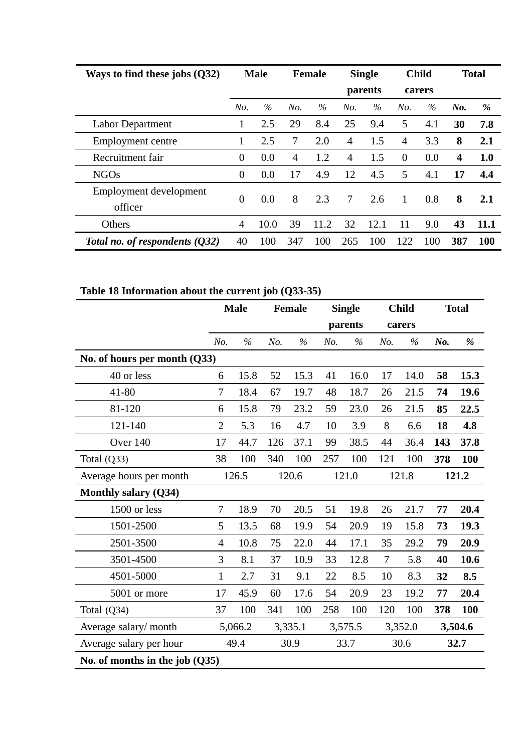| Ways to find these jobs $(Q32)$   |                | <b>Male</b> |     | <b>Female</b> | <b>Single</b>  |      | <b>Child</b>   |      |                         | <b>Total</b> |
|-----------------------------------|----------------|-------------|-----|---------------|----------------|------|----------------|------|-------------------------|--------------|
|                                   |                |             |     |               | parents        |      | carers         |      |                         |              |
|                                   | No.            | $\%$        | No. | $\%$          | No.            | $\%$ | No.            | $\%$ | No.                     | %            |
| Labor Department                  |                | 2.5         | 29  | 8.4           | 25             | 9.4  | 5              | 4.1  | 30                      | 7.8          |
| Employment centre                 |                | 2.5         | 7   | 2.0           | $\overline{4}$ | 1.5  | $\overline{4}$ | 3.3  | 8                       | 2.1          |
| Recruitment fair                  | $\overline{0}$ | 0.0         | 4   | 1.2           | $\overline{4}$ | 1.5  | $\overline{0}$ | 0.0  | $\overline{\mathbf{4}}$ | 1.0          |
| <b>NGOs</b>                       | $\overline{0}$ | 0.0         | 17  | 4.9           | 12             | 4.5  | 5              | 4.1  | 17                      | 4.4          |
| Employment development<br>officer | $\Omega$       | 0.0         | 8   | 2.3           | 7              | 2.6  | 1              | 0.8  | 8                       | 2.1          |
| Others                            | 4              | 10.0        | 39  | 11.2          | 32             | 12.1 | 11             | 9.0  | 43                      | 11.1         |
| Total no. of respondents $(032)$  | 40             | 100         | 347 | 100           | 265            | 100  | 122            | 100  | 387                     | 100          |

# **Table 18 Information about the current job (Q33-35)**

|                                  |                | <b>Male</b> |     | Female  |     | <b>Single</b> |        | <b>Child</b> |     | <b>Total</b> |
|----------------------------------|----------------|-------------|-----|---------|-----|---------------|--------|--------------|-----|--------------|
|                                  |                |             |     |         |     | parents       |        | carers       |     |              |
|                                  | No.            | $\%$        | No. | $\%$    | No. | $\%$          | No.    | $\%$         | No. | %            |
| No. of hours per month (Q33)     |                |             |     |         |     |               |        |              |     |              |
| 40 or less                       | 6              | 15.8        | 52  | 15.3    | 41  | 16.0          | 17     | 14.0         | 58  | 15.3         |
| $41 - 80$                        | $\tau$         | 18.4        | 67  | 19.7    | 48  | 18.7          | 26     | 21.5         | 74  | 19.6         |
| 81-120                           | 6              | 15.8        | 79  | 23.2    | 59  | 23.0          | 26     | 21.5         | 85  | 22.5         |
| 121-140                          | $\overline{2}$ | 5.3         | 16  | 4.7     | 10  | 3.9           | $8\,$  | 6.6          | 18  | 4.8          |
| Over 140                         | 17             | 44.7        | 126 | 37.1    | 99  | 38.5          | 44     | 36.4         | 143 | 37.8         |
| Total $(Q33)$                    | 38             | 100         | 340 | 100     | 257 | 100           | 121    | 100          | 378 | 100          |
| Average hours per month          |                | 126.5       |     | 120.6   |     | 121.0         |        | 121.8        |     | 121.2        |
| <b>Monthly salary (Q34)</b>      |                |             |     |         |     |               |        |              |     |              |
| 1500 or less                     | $\tau$         | 18.9        | 70  | 20.5    | 51  | 19.8          | 26     | 21.7         | 77  | 20.4         |
| 1501-2500                        | 5              | 13.5        | 68  | 19.9    | 54  | 20.9          | 19     | 15.8         | 73  | 19.3         |
| 2501-3500                        | $\overline{4}$ | 10.8        | 75  | 22.0    | 44  | 17.1          | 35     | 29.2         | 79  | 20.9         |
| 3501-4500                        | 3              | 8.1         | 37  | 10.9    | 33  | 12.8          | $\tau$ | 5.8          | 40  | 10.6         |
| 4501-5000                        | $\mathbf{1}$   | 2.7         | 31  | 9.1     | 22  | 8.5           | 10     | 8.3          | 32  | 8.5          |
| 5001 or more                     | 17             | 45.9        | 60  | 17.6    | 54  | 20.9          | 23     | 19.2         | 77  | 20.4         |
| Total $(Q34)$                    | 37             | 100         | 341 | 100     | 258 | 100           | 120    | 100          | 378 | 100          |
| Average salary/month             |                | 5,066.2     |     | 3,335.1 |     | 3,575.5       |        | 3,352.0      |     | 3,504.6      |
| Average salary per hour          |                | 49.4        |     | 30.9    |     | 33.7          |        | 30.6         |     | 32.7         |
| No. of months in the job $(Q35)$ |                |             |     |         |     |               |        |              |     |              |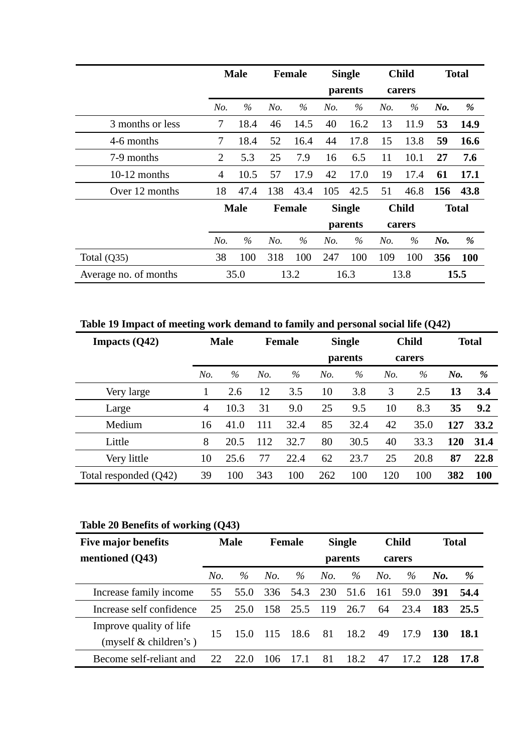|                       |                | <b>Male</b> |     | <b>Female</b> |     | <b>Single</b> | <b>Child</b> |              |     | <b>Total</b> |
|-----------------------|----------------|-------------|-----|---------------|-----|---------------|--------------|--------------|-----|--------------|
|                       |                |             |     |               |     | parents       |              | carers       |     |              |
|                       | No.            | $\%$        | No. | $\%$          | No. | $\%$          | No.          | $\%$         | No. | %            |
| 3 months or less      | 7              | 18.4        | 46  | 14.5          | 40  | 16.2          | 13           | 11.9         | 53  | 14.9         |
| 4-6 months            | $\overline{7}$ | 18.4        | 52  | 16.4          | 44  | 17.8          | 15           | 13.8         | 59  | 16.6         |
| 7-9 months            | $\overline{2}$ | 5.3         | 25  | 7.9           | 16  | 6.5           | 11           | 10.1         | 27  | 7.6          |
| $10-12$ months        | 4              | 10.5        | 57  | 17.9          | 42  | 17.0          | 19           | 17.4         | 61  | 17.1         |
| Over 12 months        | 18             | 47.4        | 138 | 43.4          | 105 | 42.5          | 51           | 46.8         | 156 | 43.8         |
|                       |                | <b>Male</b> |     | <b>Female</b> |     | <b>Single</b> |              | <b>Child</b> |     | <b>Total</b> |
|                       |                |             |     |               |     | parents       |              | carers       |     |              |
|                       | No.            | $\%$        | No. | $\%$          | No. | $\%$          | No.          | $\%$         | No. | %            |
| Total $(Q35)$         | 38             | 100         | 318 | 100           | 247 | 100           | 109          | 100          | 356 | <b>100</b>   |
| Average no. of months |                | 35.0        |     | 13.2          |     | 16.3          |              | 13.8         |     | 15.5         |

**Table 19 Impact of meeting work demand to family and personal social life (Q42)** 

| -<br>Impacts $(Q42)$  | <b>Male</b>    |      |     | <b>Female</b> |     | <b>Single</b> |        | <b>Child</b> |            | <b>Total</b> |
|-----------------------|----------------|------|-----|---------------|-----|---------------|--------|--------------|------------|--------------|
|                       |                |      |     |               |     | parents       | carers |              |            |              |
|                       | No.            | $\%$ | No. | $\%$          | No. | $\%$          | No.    | $\%$         | No.        | %            |
| Very large            |                | 2.6  | 12  | 3.5           | 10  | 3.8           | 3      | 2.5          | 13         | 3.4          |
| Large                 | $\overline{4}$ | 10.3 | 31  | 9.0           | 25  | 9.5           | 10     | 8.3          | 35         | 9.2          |
| Medium                | 16             | 41.0 | 111 | 32.4          | 85  | 32.4          | 42     | 35.0         | 127        | 33.2         |
| Little                | 8              | 20.5 | 112 | 32.7          | 80  | 30.5          | 40     | 33.3         | <b>120</b> | 31.4         |
| Very little           | 10             | 25.6 | 77  | 22.4          | 62  | 23.7          | 25     | 20.8         | 87         | 22.8         |
| Total responded (Q42) | 39             | 100  | 343 | 100           | 262 | 100           | 120    | 100          | 382        | 100          |

# **Table 20 Benefits of working (Q43)**

| Five major benefits                                | <b>Male</b> |      |     | <b>Female</b> |         | <b>Single</b> |        | <b>Child</b> |     | <b>Total</b> |
|----------------------------------------------------|-------------|------|-----|---------------|---------|---------------|--------|--------------|-----|--------------|
| mentioned (Q43)                                    |             |      |     |               | parents |               | carers |              |     |              |
|                                                    | No.         | $\%$ | No. | $\%$          | No.     | $\%$          | No.    | $\%$         | No. | %            |
| Increase family income                             | 55          | 55.0 | 336 | 54.3          | 230     | 51.6          | 161    | 59.0         | 391 | 54.4         |
| Increase self confidence                           | 25          | 25.0 | 158 | 25.5          | 119     | 26.7          | 64     | 23.4         | 183 | 25.5         |
| Improve quality of life<br>(myself $&$ children's) | 15          | 15.0 | 115 | 18.6          | 81      | 18.2          | 49     | 17.9         | 130 | 18.1         |
| Become self-reliant and                            | 22          | 22 O | 106 | 17.1          | 81      | 18.2          | 47     | 172          | 128 | 17.8         |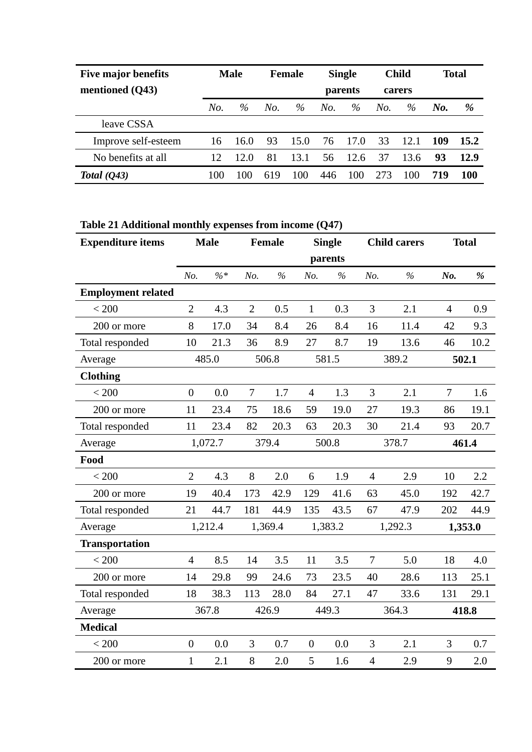| <b>Five major benefits</b> | <b>Male</b> |      | <b>Female</b> |      |         | <b>Single</b> |        | <b>Child</b> |     | Total |
|----------------------------|-------------|------|---------------|------|---------|---------------|--------|--------------|-----|-------|
| mentioned (Q43)            |             |      |               |      | parents |               | carers |              |     |       |
|                            | No.         | $\%$ | No.           | $\%$ | No.     | $\%$          | No.    | $\%$         | No. | %     |
| leave CSSA                 |             |      |               |      |         |               |        |              |     |       |
| Improve self-esteem        | 16          | 16.0 | 93            | 15.0 | 76      | 17.0          | 33     | 12.1         | 109 | 15.2  |
| No benefits at all         | 12          | 12.0 | 81            | 13.1 | 56      | 12.6          | 37     | 13.6         | 93  | 12.9  |
| Total $(Q43)$              | 100         | 100  | 619           | 100  | 446     | 100           | 273    | 100          | 719 | 100   |

**Table 21 Additional monthly expenses from income (Q47)** 

| <b>Expenditure items</b>  |                | <b>Male</b>     | Female<br><b>Single</b><br><b>Child carers</b> |               |                  | <b>Total</b> |                |               |                |         |
|---------------------------|----------------|-----------------|------------------------------------------------|---------------|------------------|--------------|----------------|---------------|----------------|---------|
|                           |                |                 |                                                |               |                  | parents      |                |               |                |         |
|                           | No.            | $\frac{9}{6}$ * | No.                                            | $\frac{0}{0}$ | No.              | $\%$         | No.            | $\frac{0}{0}$ | No.            | $\%$    |
| <b>Employment related</b> |                |                 |                                                |               |                  |              |                |               |                |         |
| < 200                     | $\overline{2}$ | 4.3             | $\overline{2}$                                 | 0.5           | $\mathbf{1}$     | 0.3          | $\overline{3}$ | 2.1           | $\overline{4}$ | 0.9     |
| 200 or more               | 8              | 17.0            | 34                                             | 8.4           | 26               | 8.4          | 16             | 11.4          | 42             | 9.3     |
| Total responded           | 10             | 21.3            | 36                                             | 8.9           | 27               | 8.7          | 19             | 13.6          | 46             | 10.2    |
| Average                   |                | 485.0           |                                                | 506.8         |                  | 581.5        |                | 389.2         |                | 502.1   |
| <b>Clothing</b>           |                |                 |                                                |               |                  |              |                |               |                |         |
| < 200                     | $\overline{0}$ | 0.0             | $\overline{7}$                                 | 1.7           | $\overline{4}$   | 1.3          | 3              | 2.1           | $\overline{7}$ | 1.6     |
| 200 or more               | 11             | 23.4            | 75                                             | 18.6          | 59               | 19.0         | 27             | 19.3          | 86             | 19.1    |
| Total responded           | 11             | 23.4            | 82                                             | 20.3          | 63               | 20.3         | 30             | 21.4          | 93             | 20.7    |
| Average                   |                | 1,072.7         |                                                | 379.4         |                  | 500.8        |                | 378.7         |                | 461.4   |
| Food                      |                |                 |                                                |               |                  |              |                |               |                |         |
| < 200                     | $\overline{2}$ | 4.3             | 8                                              | 2.0           | 6                | 1.9          | $\overline{4}$ | 2.9           | 10             | 2.2     |
| 200 or more               | 19             | 40.4            | 173                                            | 42.9          | 129              | 41.6         | 63             | 45.0          | 192            | 42.7    |
| Total responded           | 21             | 44.7            | 181                                            | 44.9          | 135              | 43.5         | 67             | 47.9          | 202            | 44.9    |
| Average                   |                | 1,212.4         |                                                | 1,369.4       |                  | 1,383.2      |                | 1,292.3       |                | 1,353.0 |
| <b>Transportation</b>     |                |                 |                                                |               |                  |              |                |               |                |         |
| < 200                     | $\overline{4}$ | 8.5             | 14                                             | 3.5           | 11               | 3.5          | $\overline{7}$ | 5.0           | 18             | 4.0     |
| 200 or more               | 14             | 29.8            | 99                                             | 24.6          | 73               | 23.5         | 40             | 28.6          | 113            | 25.1    |
| Total responded           | 18             | 38.3            | 113                                            | 28.0          | 84               | 27.1         | 47             | 33.6          | 131            | 29.1    |
| Average                   |                | 367.8           |                                                | 426.9         |                  | 449.3        |                | 364.3         |                | 418.8   |
| <b>Medical</b>            |                |                 |                                                |               |                  |              |                |               |                |         |
| < 200                     | $\overline{0}$ | 0.0             | 3                                              | 0.7           | $\boldsymbol{0}$ | 0.0          | 3              | 2.1           | 3              | 0.7     |
| 200 or more               | $\mathbf{1}$   | 2.1             | 8                                              | 2.0           | 5                | 1.6          | $\overline{4}$ | 2.9           | 9              | 2.0     |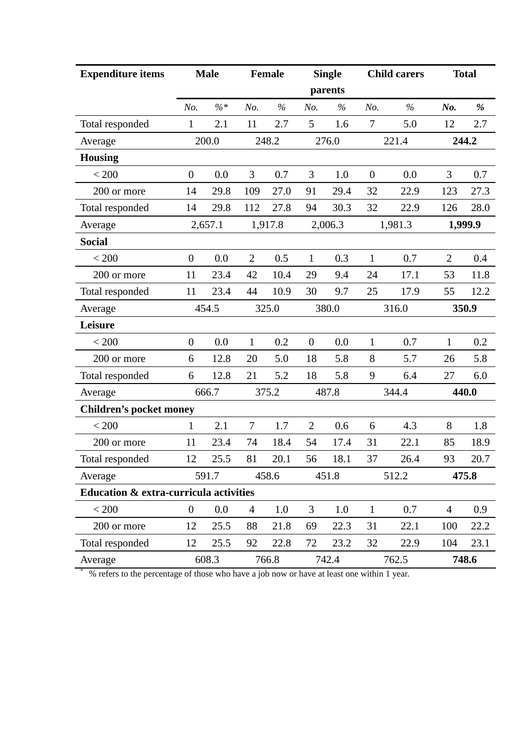| <b>Expenditure items</b>               |                  | <b>Male</b> |                | <b>Female</b> |                  | <b>Single</b> |                | <b>Child carers</b> |                | <b>Total</b> |
|----------------------------------------|------------------|-------------|----------------|---------------|------------------|---------------|----------------|---------------------|----------------|--------------|
|                                        |                  |             |                |               |                  | parents       |                |                     |                |              |
|                                        | No.              | $\% *$      | No.            | $\%$          | No.              | $\%$          | No.            | $\%$                | No.            | %            |
| Total responded                        | $\mathbf{1}$     | 2.1         | 11             | 2.7           | 5                | 1.6           | $\overline{7}$ | 5.0                 | 12             | 2.7          |
| Average                                |                  | 200.0       |                | 248.2         |                  | 276.0         |                | 221.4               |                | 244.2        |
| <b>Housing</b>                         |                  |             |                |               |                  |               |                |                     |                |              |
| < 200                                  | $\overline{0}$   | 0.0         | 3              | 0.7           | 3                | 1.0           | $\theta$       | 0.0                 | 3              | 0.7          |
| 200 or more                            | 14               | 29.8        | 109            | 27.0          | 91               | 29.4          | 32             | 22.9                | 123            | 27.3         |
| Total responded                        | 14               | 29.8        | 112            | 27.8          | 94               | 30.3          | 32             | 22.9                | 126            | 28.0         |
| Average                                |                  | 2,657.1     |                | 1,917.8       |                  | 2,006.3       |                | 1,981.3             |                | 1,999.9      |
| <b>Social</b>                          |                  |             |                |               |                  |               |                |                     |                |              |
| < 200                                  | $\boldsymbol{0}$ | 0.0         | $\overline{2}$ | 0.5           | $\mathbf{1}$     | 0.3           | $\mathbf{1}$   | 0.7                 | $\overline{2}$ | 0.4          |
| 200 or more                            | 11               | 23.4        | 42             | 10.4          | 29               | 9.4           | 24             | 17.1                | 53             | 11.8         |
| Total responded                        | 11               | 23.4        | 44             | 10.9          | 30               | 9.7           | 25             | 17.9                | 55             | 12.2         |
| Average                                |                  | 454.5       |                | 325.0         |                  | 380.0         |                | 316.0               |                | 350.9        |
| Leisure                                |                  |             |                |               |                  |               |                |                     |                |              |
| < 200                                  | $\overline{0}$   | 0.0         | $\mathbf{1}$   | 0.2           | $\boldsymbol{0}$ | 0.0           | $\mathbf{1}$   | 0.7                 | $\mathbf{1}$   | 0.2          |
| 200 or more                            | 6                | 12.8        | 20             | 5.0           | 18               | 5.8           | 8              | 5.7                 | 26             | 5.8          |
| Total responded                        | 6                | 12.8        | 21             | 5.2           | 18               | 5.8           | 9              | 6.4                 | 27             | 6.0          |
| Average                                |                  | 666.7       |                | 375.2         |                  | 487.8         |                | 344.4               |                | 440.0        |
| <b>Children's pocket money</b>         |                  |             |                |               |                  |               |                |                     |                |              |
| < 200                                  | 1                | 2.1         | $\tau$         | 1.7           | $\overline{2}$   | 0.6           | 6              | 4.3                 | 8              | 1.8          |
| 200 or more                            | 11               | 23.4        | 74             | 18.4          | 54               | 17.4          | 31             | 22.1                | 85             | 18.9         |
| Total responded                        | 12               | 25.5        | 81             | 20.1          | 56               | 18.1          | 37             | 26.4                | 93             | 20.7         |
| Average                                |                  | 591.7       |                | 458.6         |                  | 451.8         |                | 512.2               |                | 475.8        |
| Education & extra-curricula activities |                  |             |                |               |                  |               |                |                     |                |              |
| $< 200$                                | $\overline{0}$   | 0.0         | $\overline{4}$ | $1.0\,$       | 3                | 1.0           | $\mathbf{1}$   | 0.7                 | $\overline{4}$ | 0.9          |
| 200 or more                            | 12               | 25.5        | 88             | 21.8          | 69               | 22.3          | 31             | 22.1                | 100            | 22.2         |
| Total responded                        | 12               | 25.5        | 92             | 22.8          | 72               | 23.2          | 32             | 22.9                | 104            | 23.1         |
| Average                                |                  | 608.3       |                | 766.8         |                  | 742.4         |                | 762.5               |                | 748.6        |

\* % refers to the percentage of those who have a job now or have at least one within 1 year.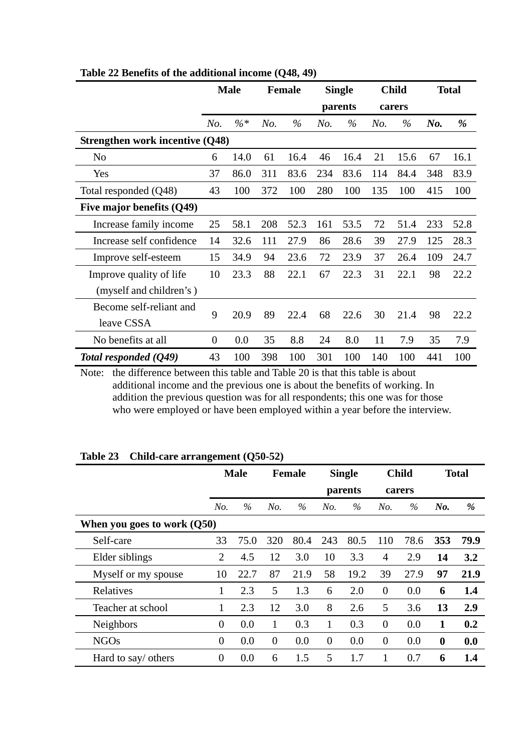|                                 |                | <b>Male</b> |     | <b>Female</b> |     | <b>Single</b> |     | <b>Child</b> |        | <b>Total</b> |
|---------------------------------|----------------|-------------|-----|---------------|-----|---------------|-----|--------------|--------|--------------|
|                                 |                |             |     |               |     | parents       |     | carers       |        |              |
|                                 | No.            | $\%*$       | No. | $\%$          | No. | $\%$          | No. | $\%$         | $N0$ . | %            |
| Strengthen work incentive (Q48) |                |             |     |               |     |               |     |              |        |              |
| No                              | 6              | 14.0        | 61  | 16.4          | 46  | 16.4          | 21  | 15.6         | 67     | 16.1         |
| Yes                             | 37             | 86.0        | 311 | 83.6          | 234 | 83.6          | 114 | 84.4         | 348    | 83.9         |
| Total responded (Q48)           | 43             | 100         | 372 | 100           | 280 | 100           | 135 | 100          | 415    | 100          |
| Five major benefits (Q49)       |                |             |     |               |     |               |     |              |        |              |
| Increase family income          | 25             | 58.1        | 208 | 52.3          | 161 | 53.5          | 72  | 51.4         | 233    | 52.8         |
| Increase self confidence        | 14             | 32.6        | 111 | 27.9          | 86  | 28.6          | 39  | 27.9         | 125    | 28.3         |
| Improve self-esteem             | 15             | 34.9        | 94  | 23.6          | 72  | 23.9          | 37  | 26.4         | 109    | 24.7         |
| Improve quality of life         | 10             | 23.3        | 88  | 22.1          | 67  | 22.3          | 31  | 22.1         | 98     | 22.2         |
| (myself and children's)         |                |             |     |               |     |               |     |              |        |              |
| Become self-reliant and         | 9              | 20.9        | 89  | 22.4          | 68  | 22.6          | 30  | 21.4         | 98     | 22.2         |
| leave CSSA                      |                |             |     |               |     |               |     |              |        |              |
| No benefits at all              | $\overline{0}$ | 0.0         | 35  | 8.8           | 24  | 8.0           | 11  | 7.9          | 35     | 7.9          |
| Total responded (Q49)           | 43             | 100         | 398 | 100           | 301 | 100           | 140 | 100          | 441    | 100          |

**Table 22 Benefits of the additional income (Q48, 49)** 

Note: the difference between this table and Table 20 is that this table is about additional income and the previous one is about the benefits of working. In addition the previous question was for all respondents; this one was for those who were employed or have been employed within a year before the interview.

|                               |                | <b>Male</b> |                | <b>Female</b> |                | <b>Single</b><br>parents | <b>Child</b><br>carers |      | <b>Total</b> |      |
|-------------------------------|----------------|-------------|----------------|---------------|----------------|--------------------------|------------------------|------|--------------|------|
|                               | No.            | $\%$        | No.            | %             | No.            | $\%$                     | No.                    | $\%$ | No.          | %    |
| When you goes to work $(Q50)$ |                |             |                |               |                |                          |                        |      |              |      |
| Self-care                     | 33             | 75.0        | 320            | 80.4          | 243            | 80.5                     | 110                    | 78.6 | 353          | 79.9 |
| Elder siblings                | $\overline{2}$ | 4.5         | 12             | 3.0           | 10             | 3.3                      | $\overline{4}$         | 2.9  | 14           | 3.2  |
| Myself or my spouse           | 10             | 22.7        | 87             | 21.9          | 58             | 19.2                     | 39                     | 27.9 | 97           | 21.9 |
| Relatives                     | 1              | 2.3         | 5              | 1.3           | 6              | 2.0                      | $\overline{0}$         | 0.0  | 6            | 1.4  |
| Teacher at school             | 1              | 2.3         | 12             | 3.0           | 8              | 2.6                      | 5                      | 3.6  | 13           | 2.9  |
| <b>Neighbors</b>              | $\overline{0}$ | 0.0         | 1              | 0.3           | $\mathbf{1}$   | 0.3                      | $\overline{0}$         | 0.0  | 1            | 0.2  |
| <b>NGOs</b>                   | $\overline{0}$ | 0.0         | $\overline{0}$ | 0.0           | $\overline{0}$ | 0.0                      | $\theta$               | 0.0  | $\mathbf{0}$ | 0.0  |
| Hard to say/ others           | $\theta$       | 0.0         | 6              | 1.5           | 5              | 1.7                      | 1                      | 0.7  | 6            | 1.4  |

**Table 23 Child-care arrangement (Q50-52)**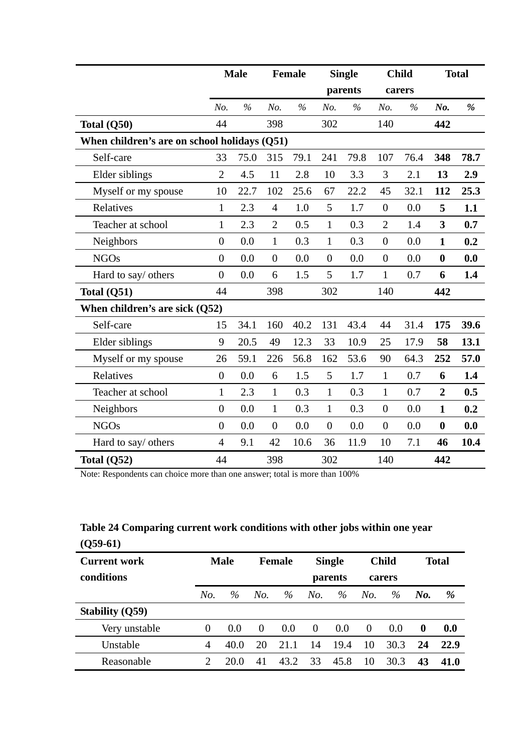|                                              |                  | <b>Male</b> |                  | Female |                  | <b>Single</b> |                  | <b>Child</b> |                | <b>Total</b> |
|----------------------------------------------|------------------|-------------|------------------|--------|------------------|---------------|------------------|--------------|----------------|--------------|
|                                              |                  |             |                  |        |                  | parents       |                  | carers       |                |              |
|                                              | No.              | $\%$        | No.              | $\%$   | No.              | $\%$          | No.              | $\%$         | No.            | $\%$         |
| Total (Q50)                                  | 44               |             | 398              |        | 302              |               | 140              |              | 442            |              |
| When children's are on school holidays (Q51) |                  |             |                  |        |                  |               |                  |              |                |              |
| Self-care                                    | 33               | 75.0        | 315              | 79.1   | 241              | 79.8          | 107              | 76.4         | 348            | 78.7         |
| Elder siblings                               | $\overline{2}$   | 4.5         | 11               | 2.8    | 10               | 3.3           | 3                | 2.1          | 13             | 2.9          |
| Myself or my spouse                          | 10               | 22.7        | 102              | 25.6   | 67               | 22.2          | 45               | 32.1         | 112            | 25.3         |
| Relatives                                    | $\mathbf{1}$     | 2.3         | $\overline{4}$   | 1.0    | 5                | 1.7           | $\boldsymbol{0}$ | 0.0          | 5              | 1.1          |
| Teacher at school                            | $\mathbf{1}$     | 2.3         | $\overline{2}$   | 0.5    | $\mathbf{1}$     | 0.3           | $\overline{2}$   | 1.4          | 3              | 0.7          |
| Neighbors                                    | $\overline{0}$   | 0.0         | $\mathbf{1}$     | 0.3    | $\mathbf{1}$     | 0.3           | $\boldsymbol{0}$ | 0.0          | $\mathbf{1}$   | 0.2          |
| <b>NGOs</b>                                  | $\overline{0}$   | 0.0         | $\overline{0}$   | 0.0    | $\overline{0}$   | 0.0           | $\overline{0}$   | 0.0          | $\bf{0}$       | 0.0          |
| Hard to say/ others                          | $\overline{0}$   | 0.0         | 6                | 1.5    | 5                | 1.7           | $\mathbf{1}$     | 0.7          | 6              | 1.4          |
| Total $(Q51)$                                | 44               |             | 398              |        | 302              |               | 140              |              | 442            |              |
| When children's are sick $(Q52)$             |                  |             |                  |        |                  |               |                  |              |                |              |
| Self-care                                    | 15               | 34.1        | 160              | 40.2   | 131              | 43.4          | 44               | 31.4         | 175            | 39.6         |
| Elder siblings                               | 9                | 20.5        | 49               | 12.3   | 33               | 10.9          | 25               | 17.9         | 58             | 13.1         |
| Myself or my spouse                          | 26               | 59.1        | 226              | 56.8   | 162              | 53.6          | 90               | 64.3         | 252            | 57.0         |
| Relatives                                    | $\boldsymbol{0}$ | 0.0         | 6                | 1.5    | 5                | 1.7           | $\mathbf{1}$     | 0.7          | 6              | 1.4          |
| Teacher at school                            | $\mathbf{1}$     | 2.3         | $\mathbf{1}$     | 0.3    | $\mathbf{1}$     | 0.3           | $\mathbf{1}$     | 0.7          | $\overline{2}$ | 0.5          |
| Neighbors                                    | $\overline{0}$   | 0.0         | $\mathbf{1}$     | 0.3    | $\mathbf{1}$     | 0.3           | $\boldsymbol{0}$ | 0.0          | $\mathbf{1}$   | 0.2          |
| <b>NGOs</b>                                  | $\overline{0}$   | 0.0         | $\boldsymbol{0}$ | 0.0    | $\boldsymbol{0}$ | 0.0           | $\boldsymbol{0}$ | 0.0          | $\bf{0}$       | 0.0          |
| Hard to say/ others                          | $\overline{4}$   | 9.1         | 42               | 10.6   | 36               | 11.9          | 10               | 7.1          | 46             | 10.4         |
| Total $(Q52)$                                | 44               |             | 398              |        | 302              |               | 140              |              | 442            |              |

Note: Respondents can choice more than one answer; total is more than 100%

# **Table 24 Comparing current work conditions with other jobs within one year (Q59-61)**

| $\sqrt{2}$             |          |             |          |               |          |               |          |              |                  |      |
|------------------------|----------|-------------|----------|---------------|----------|---------------|----------|--------------|------------------|------|
| <b>Current work</b>    |          | <b>Male</b> |          | <b>Female</b> |          | <b>Single</b> |          | <b>Child</b> | <b>Total</b>     |      |
| conditions             |          |             |          |               |          | parents       |          | carers       |                  |      |
|                        | No.      | $\%$        | No.      | $\%$          | No.      | $\%$          | No.      | $\%$         | No.              | %    |
| <b>Stability (Q59)</b> |          |             |          |               |          |               |          |              |                  |      |
| Very unstable          | $\theta$ | 0.0         | $\Omega$ | 0.0           | $\Omega$ | 0.0           | $\theta$ | 0.0          | $\boldsymbol{0}$ | 0.0  |
| Unstable               | 4        | 40.0        | 20       | 2.1.1         | 14       | 19.4          | 10       | 30.3         | 24               | 22.9 |
| Reasonable             | ∍        | 20.0        | 41       | 43.2          | 33       | 45.8          | 10       | 30.3         | 43               | 41.0 |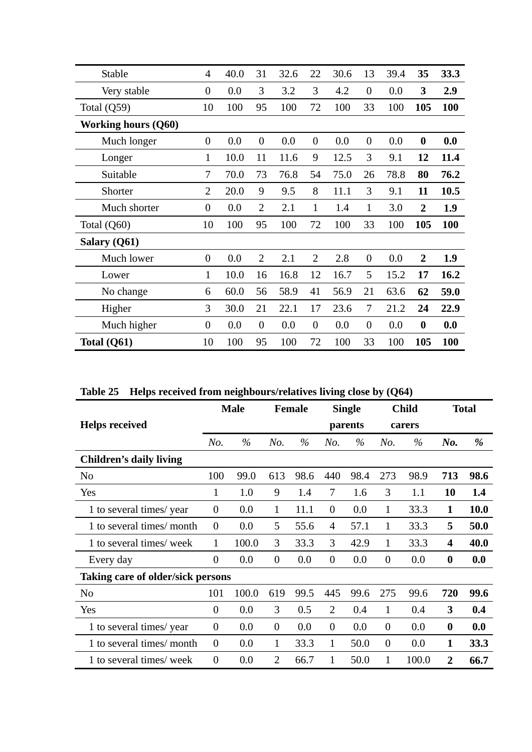| Stable                     | $\overline{4}$ | 40.0 | 31             | 32.6 | 22             | 30.6 | 13               | 39.4 | 35               | 33.3 |
|----------------------------|----------------|------|----------------|------|----------------|------|------------------|------|------------------|------|
| Very stable                | $\overline{0}$ | 0.0  | 3              | 3.2  | 3              | 4.2  | $\overline{0}$   | 0.0  | 3                | 2.9  |
| Total $(Q59)$              | 10             | 100  | 95             | 100  | 72             | 100  | 33               | 100  | 105              | 100  |
| <b>Working hours (Q60)</b> |                |      |                |      |                |      |                  |      |                  |      |
| Much longer                | $\overline{0}$ | 0.0  | $\overline{0}$ | 0.0  | $\overline{0}$ | 0.0  | $\boldsymbol{0}$ | 0.0  | $\boldsymbol{0}$ | 0.0  |
| Longer                     | $\mathbf{1}$   | 10.0 | 11             | 11.6 | 9              | 12.5 | 3                | 9.1  | 12               | 11.4 |
| Suitable                   | 7              | 70.0 | 73             | 76.8 | 54             | 75.0 | 26               | 78.8 | 80               | 76.2 |
| Shorter                    | $\overline{2}$ | 20.0 | 9              | 9.5  | 8              | 11.1 | 3                | 9.1  | 11               | 10.5 |
| Much shorter               | $\overline{0}$ | 0.0  | $\overline{2}$ | 2.1  | $\mathbf{1}$   | 1.4  | 1                | 3.0  | $\overline{2}$   | 1.9  |
| Total (Q60)                | 10             | 100  | 95             | 100  | 72             | 100  | 33               | 100  | 105              | 100  |
| Salary (Q61)               |                |      |                |      |                |      |                  |      |                  |      |
| Much lower                 | $\overline{0}$ | 0.0  | $\overline{2}$ | 2.1  | $\overline{2}$ | 2.8  | $\overline{0}$   | 0.0  | $\overline{2}$   | 1.9  |
| Lower                      | $\mathbf{1}$   | 10.0 | 16             | 16.8 | 12             | 16.7 | 5                | 15.2 | 17               | 16.2 |
| No change                  | 6              | 60.0 | 56             | 58.9 | 41             | 56.9 | 21               | 63.6 | 62               | 59.0 |
| Higher                     | 3              | 30.0 | 21             | 22.1 | 17             | 23.6 | 7                | 21.2 | 24               | 22.9 |
| Much higher                | $\overline{0}$ | 0.0  | $\overline{0}$ | 0.0  | $\overline{0}$ | 0.0  | $\overline{0}$   | 0.0  | $\boldsymbol{0}$ | 0.0  |
| Total (Q61)                | 10             | 100  | 95             | 100  | 72             | 100  | 33               | 100  | 105              | 100  |

**Table 25 Helps received from neighbours/relatives living close by (Q64)** 

|                                   |                  | <b>Male</b> |                  | <b>Female</b> |                  | <b>Single</b> |                  | <b>Child</b> |                         | <b>Total</b> |
|-----------------------------------|------------------|-------------|------------------|---------------|------------------|---------------|------------------|--------------|-------------------------|--------------|
| <b>Helps received</b>             |                  |             |                  |               |                  | parents       |                  | carers       |                         |              |
|                                   | No.              | $\%$        | No.              | $\%$          | No.              | $\%$          | No.              | $\%$         | No.                     | %            |
| <b>Children's daily living</b>    |                  |             |                  |               |                  |               |                  |              |                         |              |
| N <sub>o</sub>                    | 100              | 99.0        | 613              | 98.6          | 440              | 98.4          | 273              | 98.9         | 713                     | 98.6         |
| Yes                               | 1                | 1.0         | 9                | 1.4           | 7                | 1.6           | 3                | 1.1          | 10                      | 1.4          |
| 1 to several times/year           | $\boldsymbol{0}$ | 0.0         | $\mathbf{1}$     | 11.1          | $\boldsymbol{0}$ | 0.0           | $\mathbf{1}$     | 33.3         | $\mathbf{1}$            | <b>10.0</b>  |
| 1 to several times/month          | $\boldsymbol{0}$ | 0.0         | 5                | 55.6          | $\overline{4}$   | 57.1          | 1                | 33.3         | 5                       | 50.0         |
| 1 to several times/week           | 1                | 100.0       | 3                | 33.3          | 3                | 42.9          | 1                | 33.3         | $\overline{\mathbf{4}}$ | 40.0         |
| Every day                         | $\theta$         | 0.0         | $\theta$         | 0.0           | $\overline{0}$   | 0.0           | $\theta$         | 0.0          | $\bf{0}$                | 0.0          |
| Taking care of older/sick persons |                  |             |                  |               |                  |               |                  |              |                         |              |
| N <sub>0</sub>                    | 101              | 100.0       | 619              | 99.5          | 445              | 99.6          | 275              | 99.6         | 720                     | 99.6         |
| Yes                               | $\theta$         | 0.0         | 3                | 0.5           | $\overline{2}$   | 0.4           | 1                | 0.4          | 3                       | 0.4          |
| 1 to several times/year           | $\boldsymbol{0}$ | 0.0         | $\boldsymbol{0}$ | 0.0           | $\boldsymbol{0}$ | 0.0           | $\boldsymbol{0}$ | 0.0          | $\boldsymbol{0}$        | 0.0          |
| 1 to several times/month          | $\boldsymbol{0}$ | 0.0         | $\mathbf{1}$     | 33.3          | 1                | 50.0          | $\overline{0}$   | 0.0          | 1                       | 33.3         |
| 1 to several times/week           | $\boldsymbol{0}$ | 0.0         | $\overline{2}$   | 66.7          | 1                | 50.0          | 1                | 100.0        | $\overline{2}$          | 66.7         |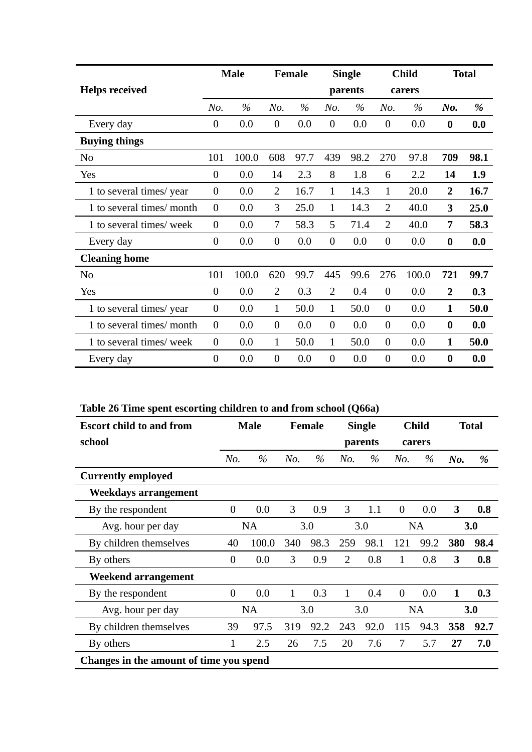|                           |                | <b>Male</b> |                  | <b>Female</b> |                | <b>Single</b> |                  | <b>Child</b> |                  | <b>Total</b> |
|---------------------------|----------------|-------------|------------------|---------------|----------------|---------------|------------------|--------------|------------------|--------------|
| <b>Helps received</b>     |                |             |                  |               |                | parents       |                  | carers       |                  |              |
|                           | No.            | $\%$        | No.              | $\%$          | No.            | $\%$          | No.              | $\%$         | $N0$ .           | %            |
| Every day                 | $\overline{0}$ | 0.0         | $\boldsymbol{0}$ | 0.0           | $\mathbf{0}$   | 0.0           | $\overline{0}$   | 0.0          | $\boldsymbol{0}$ | 0.0          |
| <b>Buying things</b>      |                |             |                  |               |                |               |                  |              |                  |              |
| N <sub>0</sub>            | 101            | 100.0       | 608              | 97.7          | 439            | 98.2          | 270              | 97.8         | 709              | 98.1         |
| Yes                       | $\overline{0}$ | 0.0         | 14               | 2.3           | 8              | 1.8           | 6                | 2.2          | 14               | 1.9          |
| 1 to several times/year   | $\overline{0}$ | 0.0         | $\overline{2}$   | 16.7          | $\mathbf{1}$   | 14.3          | 1                | 20.0         | $\overline{2}$   | 16.7         |
| 1 to several times/ month | $\overline{0}$ | 0.0         | 3                | 25.0          | $\mathbf{1}$   | 14.3          | $\overline{2}$   | 40.0         | 3                | 25.0         |
| 1 to several times/ week  | $\overline{0}$ | 0.0         | 7                | 58.3          | 5              | 71.4          | $\overline{2}$   | 40.0         | 7                | 58.3         |
| Every day                 | $\overline{0}$ | 0.0         | $\boldsymbol{0}$ | 0.0           | $\overline{0}$ | 0.0           | $\theta$         | 0.0          | $\boldsymbol{0}$ | 0.0          |
| <b>Cleaning home</b>      |                |             |                  |               |                |               |                  |              |                  |              |
| N <sub>0</sub>            | 101            | 100.0       | 620              | 99.7          | 445            | 99.6          | 276              | 100.0        | 721              | 99.7         |
| Yes                       | $\overline{0}$ | 0.0         | $\overline{2}$   | 0.3           | $\overline{2}$ | 0.4           | $\overline{0}$   | 0.0          | $\boldsymbol{2}$ | 0.3          |
| 1 to several times/year   | $\overline{0}$ | 0.0         | $\mathbf{1}$     | 50.0          | $\mathbf{1}$   | 50.0          | $\boldsymbol{0}$ | 0.0          | $\mathbf{1}$     | 50.0         |
| 1 to several times/month  | $\overline{0}$ | 0.0         | $\overline{0}$   | 0.0           | $\overline{0}$ | 0.0           | $\overline{0}$   | 0.0          | $\boldsymbol{0}$ | 0.0          |
| 1 to several times/ week  | $\overline{0}$ | 0.0         | 1                | 50.0          | $\mathbf{1}$   | 50.0          | $\overline{0}$   | 0.0          | $\mathbf{1}$     | 50.0         |
| Every day                 | $\overline{0}$ | 0.0         | $\boldsymbol{0}$ | 0.0           | $\overline{0}$ | 0.0           | $\overline{0}$   | 0.0          | $\boldsymbol{0}$ | 0.0          |

# **Table 26 Time spent escorting children to and from school (Q66a)**

| <b>Escort child to and from</b>         |                | <b>Male</b> |     | <b>Female</b> |                | <b>Single</b> |                | <b>Child</b> |     | <b>Total</b> |
|-----------------------------------------|----------------|-------------|-----|---------------|----------------|---------------|----------------|--------------|-----|--------------|
| school                                  |                |             |     |               |                | parents       |                | carers       |     |              |
|                                         | No.            | $\%$        | No. | $\%$          | No.            | $\%$          | No.            | $\%$         | No. | %            |
| <b>Currently employed</b>               |                |             |     |               |                |               |                |              |     |              |
| Weekdays arrangement                    |                |             |     |               |                |               |                |              |     |              |
| By the respondent                       | $\overline{0}$ | 0.0         | 3   | 0.9           | 3              | 1.1           | $\overline{0}$ | 0.0          | 3   | 0.8          |
| Avg. hour per day                       |                | <b>NA</b>   |     | 3.0           |                | 3.0           |                | <b>NA</b>    |     | 3.0          |
| By children themselves                  | 40             | 100.0       | 340 | 98.3          | 259            | 98.1          | 121            | 99.2         | 380 | 98.4         |
| By others                               | $\theta$       | 0.0         | 3   | 0.9           | $\overline{2}$ | 0.8           | 1              | 0.8          | 3   | 0.8          |
| Weekend arrangement                     |                |             |     |               |                |               |                |              |     |              |
| By the respondent                       | $\theta$       | 0.0         | 1   | 0.3           | $\mathbf{1}$   | 0.4           | $\overline{0}$ | 0.0          | 1   | 0.3          |
| Avg. hour per day                       |                | <b>NA</b>   |     | 3.0           |                | 3.0           |                | <b>NA</b>    |     | 3.0          |
| By children themselves                  | 39             | 97.5        | 319 | 92.2          | 243            | 92.0          | 115            | 94.3         | 358 | 92.7         |
| By others                               | 1              | 2.5         | 26  | 7.5           | 20             | 7.6           | 7              | 5.7          | 27  | 7.0          |
| Changes in the amount of time you spend |                |             |     |               |                |               |                |              |     |              |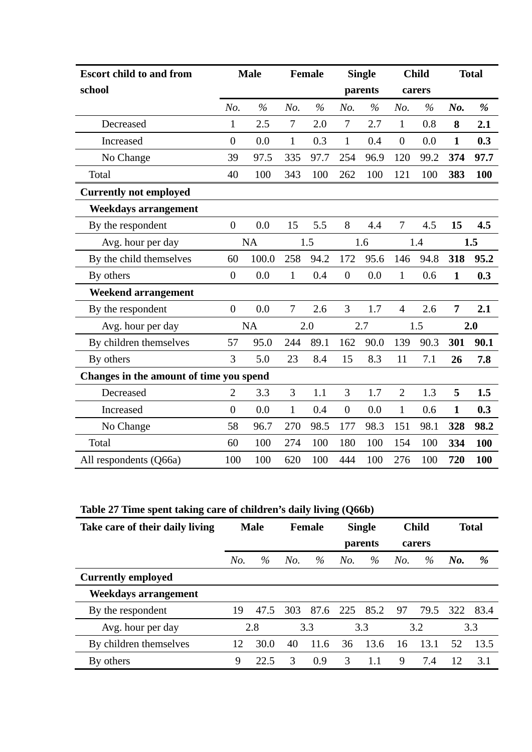| <b>Escort child to and from</b>         |                  | <b>Male</b>   |              | <b>Female</b> |                  | <b>Single</b> |                  | <b>Child</b> |              | <b>Total</b> |
|-----------------------------------------|------------------|---------------|--------------|---------------|------------------|---------------|------------------|--------------|--------------|--------------|
| school                                  |                  |               |              |               |                  | parents       |                  | carers       |              |              |
|                                         | No.              | $\frac{6}{6}$ | No.          | $\%$          | No.              | $\%$          | No.              | $\%$         | No.          | %            |
| Decreased                               | 1                | 2.5           | 7            | 2.0           | $\tau$           | 2.7           | $\mathbf{1}$     | 0.8          | 8            | 2.1          |
| Increased                               | $\overline{0}$   | 0.0           | $\mathbf{1}$ | 0.3           | $\mathbf{1}$     | 0.4           | $\boldsymbol{0}$ | 0.0          | $\mathbf{1}$ | 0.3          |
| No Change                               | 39               | 97.5          | 335          | 97.7          | 254              | 96.9          | 120              | 99.2         | 374          | 97.7         |
| Total                                   | 40               | 100           | 343          | 100           | 262              | 100           | 121              | 100          | 383          | <b>100</b>   |
| <b>Currently not employed</b>           |                  |               |              |               |                  |               |                  |              |              |              |
| Weekdays arrangement                    |                  |               |              |               |                  |               |                  |              |              |              |
| By the respondent                       | $\boldsymbol{0}$ | 0.0           | 15           | 5.5           | 8                | 4.4           | $\overline{7}$   | 4.5          | 15           | 4.5          |
| Avg. hour per day                       |                  | <b>NA</b>     |              | 1.5           |                  | 1.6           |                  | 1.4          |              | 1.5          |
| By the child themselves                 | 60               | 100.0         | 258          | 94.2          | 172              | 95.6          | 146              | 94.8         | 318          | 95.2         |
| By others                               | $\overline{0}$   | 0.0           | $\mathbf{1}$ | 0.4           | $\boldsymbol{0}$ | 0.0           | $\mathbf{1}$     | 0.6          | $\mathbf{1}$ | 0.3          |
| <b>Weekend arrangement</b>              |                  |               |              |               |                  |               |                  |              |              |              |
| By the respondent                       | $\boldsymbol{0}$ | 0.0           | 7            | 2.6           | 3                | 1.7           | $\overline{4}$   | 2.6          | 7            | 2.1          |
| Avg. hour per day                       |                  | <b>NA</b>     |              | 2.0           |                  | 2.7           |                  | 1.5          |              | 2.0          |
| By children themselves                  | 57               | 95.0          | 244          | 89.1          | 162              | 90.0          | 139              | 90.3         | 301          | 90.1         |
| By others                               | 3                | 5.0           | 23           | 8.4           | 15               | 8.3           | 11               | 7.1          | 26           | 7.8          |
| Changes in the amount of time you spend |                  |               |              |               |                  |               |                  |              |              |              |
| Decreased                               | $\overline{2}$   | 3.3           | 3            | 1.1           | 3                | 1.7           | $\overline{2}$   | 1.3          | 5            | 1.5          |
| Increased                               | $\boldsymbol{0}$ | 0.0           | $\mathbf{1}$ | 0.4           | $\boldsymbol{0}$ | 0.0           | $\mathbf{1}$     | 0.6          | $\mathbf{1}$ | 0.3          |
| No Change                               | 58               | 96.7          | 270          | 98.5          | 177              | 98.3          | 151              | 98.1         | 328          | 98.2         |
| Total                                   | 60               | 100           | 274          | 100           | 180              | 100           | 154              | 100          | 334          | 100          |
| All respondents (Q66a)                  | 100              | 100           | 620          | 100           | 444              | 100           | 276              | 100          | 720          | <b>100</b>   |

**Table 27 Time spent taking care of children's daily living (Q66b)** 

| Take care of their daily living | <b>Male</b> |      |     | <b>Female</b> | <b>Single</b> |          | <b>Child</b> |        | <b>Total</b> |       |
|---------------------------------|-------------|------|-----|---------------|---------------|----------|--------------|--------|--------------|-------|
|                                 |             |      |     |               |               | parents  |              | carers |              |       |
|                                 | No.         | $\%$ | No. | $\%$          | No.           | $\%$     | No.          | $\%$   | No.          | %     |
| <b>Currently employed</b>       |             |      |     |               |               |          |              |        |              |       |
| Weekdays arrangement            |             |      |     |               |               |          |              |        |              |       |
| By the respondent               | 19          | 47.5 | 303 | 87.6          |               | 225 85.2 | 97           | 79.5   | 322          | -83.4 |
| Avg. hour per day               |             | 2.8  |     | 3.3           |               | 3.3      |              | 3.2    |              | 3.3   |
| By children themselves          | 12          | 30.0 | 40  | 11.6          | 36            | 13.6     | 16           | 13.1   | 52           | 13.5  |
| By others                       | 9           | 22.5 | 3   | 0.9           | 3             | 1.1      | 9            | 7.4    | 12           | 3.1   |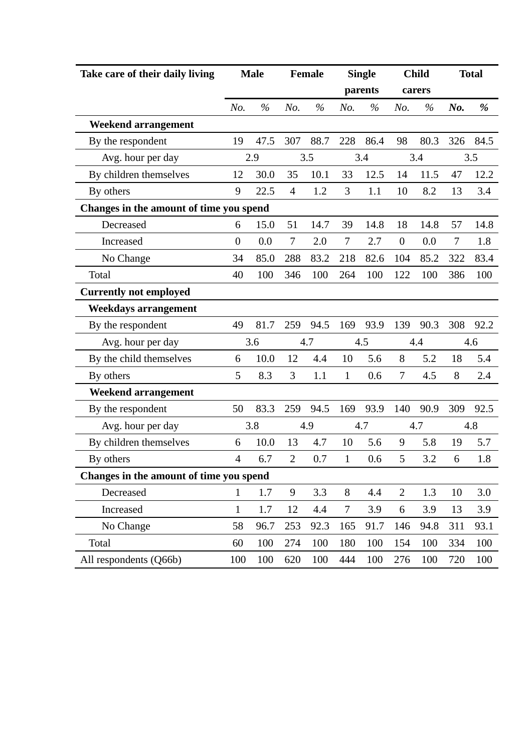| Take care of their daily living         |                | <b>Male</b> |                | <b>Female</b> |                | <b>Single</b> |                | <b>Child</b> |                | <b>Total</b> |
|-----------------------------------------|----------------|-------------|----------------|---------------|----------------|---------------|----------------|--------------|----------------|--------------|
|                                         |                |             |                |               |                | parents       |                | carers       |                |              |
|                                         | No.            | $\%$        | No.            | $\%$          | No.            | $\%$          | No.            | $\%$         | $N0$ .         | %            |
| <b>Weekend arrangement</b>              |                |             |                |               |                |               |                |              |                |              |
| By the respondent                       | 19             | 47.5        | 307            | 88.7          | 228            | 86.4          | 98             | 80.3         | 326            | 84.5         |
| Avg. hour per day                       |                | 2.9         |                | 3.5           |                | 3.4           |                | 3.4          |                | 3.5          |
| By children themselves                  | 12             | 30.0        | 35             | 10.1          | 33             | 12.5          | 14             | 11.5         | 47             | 12.2         |
| By others                               | 9              | 22.5        | $\overline{4}$ | 1.2           | 3              | 1.1           | 10             | 8.2          | 13             | 3.4          |
| Changes in the amount of time you spend |                |             |                |               |                |               |                |              |                |              |
| Decreased                               | 6              | 15.0        | 51             | 14.7          | 39             | 14.8          | 18             | 14.8         | 57             | 14.8         |
| Increased                               | $\overline{0}$ | 0.0         | $\tau$         | 2.0           | $\tau$         | 2.7           | $\overline{0}$ | 0.0          | $\overline{7}$ | 1.8          |
| No Change                               | 34             | 85.0        | 288            | 83.2          | 218            | 82.6          | 104            | 85.2         | 322            | 83.4         |
| Total                                   | 40             | 100         | 346            | 100           | 264            | 100           | 122            | 100          | 386            | 100          |
| <b>Currently not employed</b>           |                |             |                |               |                |               |                |              |                |              |
| Weekdays arrangement                    |                |             |                |               |                |               |                |              |                |              |
| By the respondent                       | 49             | 81.7        | 259            | 94.5          | 169            | 93.9          | 139            | 90.3         | 308            | 92.2         |
| Avg. hour per day                       |                | 3.6         |                | 4.7           |                | 4.5           |                | 4.4          |                | 4.6          |
| By the child themselves                 | 6              | 10.0        | 12             | 4.4           | 10             | 5.6           | 8              | 5.2          | 18             | 5.4          |
| By others                               | 5              | 8.3         | 3              | 1.1           | $\mathbf{1}$   | 0.6           | 7              | 4.5          | 8              | 2.4          |
| <b>Weekend arrangement</b>              |                |             |                |               |                |               |                |              |                |              |
| By the respondent                       | 50             | 83.3        | 259            | 94.5          | 169            | 93.9          | 140            | 90.9         | 309            | 92.5         |
| Avg. hour per day                       |                | 3.8         |                | 4.9           |                | 4.7           |                | 4.7          |                | 4.8          |
| By children themselves                  | 6              | 10.0        | 13             | 4.7           | 10             | 5.6           | 9              | 5.8          | 19             | 5.7          |
| By others                               | $\overline{4}$ | 6.7         | $\overline{2}$ | 0.7           | $\mathbf{1}$   | 0.6           | 5              | 3.2          | 6              | 1.8          |
| Changes in the amount of time you spend |                |             |                |               |                |               |                |              |                |              |
| Decreased                               | $\mathbf{1}$   | 1.7         | 9              | 3.3           | 8              | 4.4           | $\overline{2}$ | 1.3          | 10             | 3.0          |
| Increased                               | $\mathbf{1}$   | 1.7         | 12             | 4.4           | $\overline{7}$ | 3.9           | 6              | 3.9          | 13             | 3.9          |
| No Change                               | 58             | 96.7        | 253            | 92.3          | 165            | 91.7          | 146            | 94.8         | 311            | 93.1         |
| Total                                   | 60             | 100         | 274            | 100           | 180            | 100           | 154            | 100          | 334            | 100          |
| All respondents (Q66b)                  | 100            | 100         | 620            | 100           | 444            | 100           | 276            | 100          | 720            | 100          |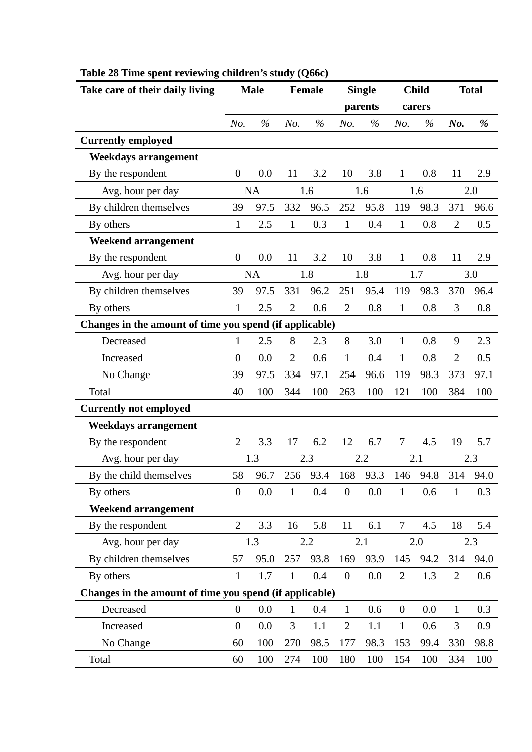| Take care of their daily living                         |                  | <b>Male</b> |                | <b>Female</b> |                  | <b>Single</b> |                  | <b>Child</b> |                | <b>Total</b> |
|---------------------------------------------------------|------------------|-------------|----------------|---------------|------------------|---------------|------------------|--------------|----------------|--------------|
|                                                         |                  |             |                |               |                  | parents       |                  | carers       |                |              |
|                                                         | No.              | $\%$        | No.            | $\%$          | No.              | $\%$          | No.              | $\%$         | No.            | %            |
| <b>Currently employed</b>                               |                  |             |                |               |                  |               |                  |              |                |              |
| <b>Weekdays arrangement</b>                             |                  |             |                |               |                  |               |                  |              |                |              |
| By the respondent                                       | $\overline{0}$   | 0.0         | 11             | 3.2           | 10               | 3.8           | 1                | 0.8          | 11             | 2.9          |
| Avg. hour per day                                       |                  | <b>NA</b>   |                | 1.6           |                  | 1.6           |                  | 1.6          |                | 2.0          |
| By children themselves                                  | 39               | 97.5        | 332            | 96.5          | 252              | 95.8          | 119              | 98.3         | 371            | 96.6         |
| By others                                               | $\mathbf{1}$     | 2.5         | $\mathbf{1}$   | 0.3           | $\mathbf{1}$     | 0.4           | $\mathbf{1}$     | 0.8          | $\overline{2}$ | 0.5          |
| <b>Weekend arrangement</b>                              |                  |             |                |               |                  |               |                  |              |                |              |
| By the respondent                                       | $\theta$         | 0.0         | 11             | 3.2           | 10               | 3.8           | $\mathbf{1}$     | 0.8          | 11             | 2.9          |
| Avg. hour per day                                       |                  | NA          |                | 1.8           |                  | 1.8           |                  | 1.7          |                | 3.0          |
| By children themselves                                  | 39               | 97.5        | 331            | 96.2          | 251              | 95.4          | 119              | 98.3         | 370            | 96.4         |
| By others                                               | 1                | 2.5         | $\overline{2}$ | 0.6           | $\overline{2}$   | 0.8           | $\mathbf{1}$     | 0.8          | 3              | 0.8          |
| Changes in the amount of time you spend (if applicable) |                  |             |                |               |                  |               |                  |              |                |              |
| Decreased                                               | $\mathbf{1}$     | 2.5         | 8              | 2.3           | 8                | 3.0           | $\mathbf{1}$     | 0.8          | 9              | 2.3          |
| Increased                                               | $\overline{0}$   | 0.0         | $\overline{2}$ | 0.6           | $\mathbf{1}$     | 0.4           | $\mathbf{1}$     | 0.8          | $\overline{2}$ | 0.5          |
| No Change                                               | 39               | 97.5        | 334            | 97.1          | 254              | 96.6          | 119              | 98.3         | 373            | 97.1         |
| Total                                                   | 40               | 100         | 344            | 100           | 263              | 100           | 121              | 100          | 384            | 100          |
| <b>Currently not employed</b>                           |                  |             |                |               |                  |               |                  |              |                |              |
| <b>Weekdays arrangement</b>                             |                  |             |                |               |                  |               |                  |              |                |              |
| By the respondent                                       | $\overline{2}$   | 3.3         | 17             | 6.2           | 12               | 6.7           | $\tau$           | 4.5          | 19             | 5.7          |
| Avg. hour per day                                       |                  | 1.3         |                | 2.3           |                  | 2.2           |                  | 2.1          |                | 2.3          |
| By the child themselves                                 | 58               | 96.7        | 256            | 93.4          | 168              | 93.3          | 146              | 94.8         | 314            | 94.0         |
| By others                                               | $\boldsymbol{0}$ | 0.0         | $\mathbf{1}$   | 0.4           | $\boldsymbol{0}$ | 0.0           | $\mathbf{1}$     | 0.6          | $\mathbf{1}$   | 0.3          |
| <b>Weekend arrangement</b>                              |                  |             |                |               |                  |               |                  |              |                |              |
| By the respondent                                       | $\overline{2}$   | 3.3         | 16             | 5.8           | 11               | 6.1           | $\tau$           | 4.5          | 18             | 5.4          |
| Avg. hour per day                                       |                  | 1.3         |                | 2.2           |                  | 2.1           |                  | 2.0          |                | 2.3          |
| By children themselves                                  | 57               | 95.0        | 257            | 93.8          | 169              | 93.9          | 145              | 94.2         | 314            | 94.0         |
| By others                                               | 1                | 1.7         | $\mathbf{1}$   | 0.4           | $\boldsymbol{0}$ | 0.0           | $\mathbf{2}$     | 1.3          | $\overline{2}$ | 0.6          |
| Changes in the amount of time you spend (if applicable) |                  |             |                |               |                  |               |                  |              |                |              |
| Decreased                                               | $\boldsymbol{0}$ | 0.0         | $\mathbf{1}$   | 0.4           | $\mathbf{1}$     | 0.6           | $\boldsymbol{0}$ | 0.0          | $\mathbf{1}$   | 0.3          |
| Increased                                               | $\boldsymbol{0}$ | 0.0         | 3              | 1.1           | $\mathbf{2}$     | 1.1           | $\mathbf{1}$     | 0.6          | 3              | 0.9          |
| No Change                                               | 60               | 100         | 270            | 98.5          | 177              | 98.3          | 153              | 99.4         | 330            | 98.8         |
| Total                                                   | 60               | 100         | 274            | 100           | 180              | 100           | 154              | 100          | 334            | 100          |

# **Table 28 Time spent reviewing children's study (Q66c)**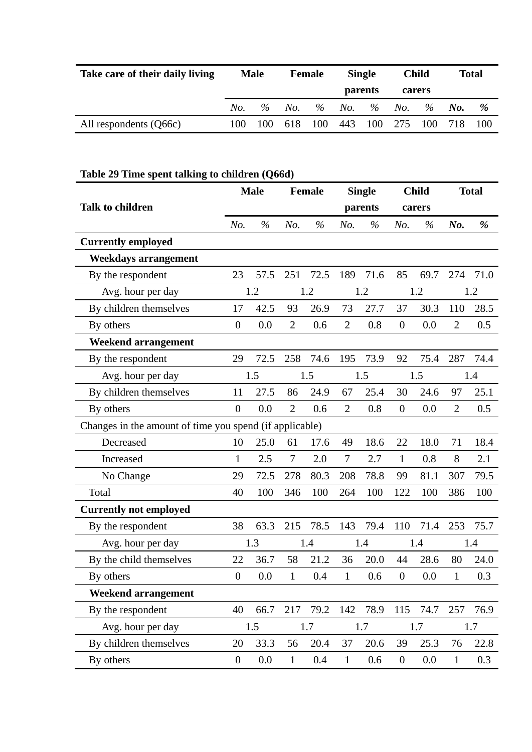| Take care of their daily living | <b>Male</b> |      | Female |      |                | <b>Single</b> |        | <b>Child</b> | <b>Total</b> |     |
|---------------------------------|-------------|------|--------|------|----------------|---------------|--------|--------------|--------------|-----|
|                                 |             |      |        |      | <b>parents</b> |               | carers |              |              |     |
|                                 | No.         | $\%$ | No.    | $\%$ | No.            | $\%$          | No.    | $\%$         | No.          | %   |
| All respondents (Q66c)          | 100         | 100  | 618    | 100  | 443            | 100           | 275    | 100          |              | 100 |

# **Table 29 Time spent talking to children (Q66d)**

|                                                         |                  | <b>Male</b> |                | <b>Female</b> |                | <b>Single</b> |                  | <b>Child</b> |                | <b>Total</b> |
|---------------------------------------------------------|------------------|-------------|----------------|---------------|----------------|---------------|------------------|--------------|----------------|--------------|
| <b>Talk to children</b>                                 |                  |             |                |               |                | parents       |                  | carers       |                |              |
|                                                         | No.              | $\%$        | No.            | $\%$          | No.            | $\%$          | No.              | $\%$         | No.            | %            |
| <b>Currently employed</b>                               |                  |             |                |               |                |               |                  |              |                |              |
| <b>Weekdays arrangement</b>                             |                  |             |                |               |                |               |                  |              |                |              |
| By the respondent                                       | 23               | 57.5        | 251            | 72.5          | 189            | 71.6          | 85               | 69.7         | 274            | 71.0         |
| Avg. hour per day                                       |                  | 1.2         |                | 1.2           |                | 1.2           |                  | 1.2          |                | 1.2          |
| By children themselves                                  | 17               | 42.5        | 93             | 26.9          | 73             | 27.7          | 37               | 30.3         | 110            | 28.5         |
| By others                                               | $\theta$         | 0.0         | $\overline{2}$ | 0.6           | $\overline{2}$ | 0.8           | $\boldsymbol{0}$ | 0.0          | $\overline{2}$ | 0.5          |
| <b>Weekend arrangement</b>                              |                  |             |                |               |                |               |                  |              |                |              |
| By the respondent                                       | 29               | 72.5        | 258            | 74.6          | 195            | 73.9          | 92               | 75.4         | 287            | 74.4         |
| Avg. hour per day                                       |                  | 1.5         |                | 1.5           |                | 1.5           |                  | 1.5          |                | 1.4          |
| By children themselves                                  | 11               | 27.5        | 86             | 24.9          | 67             | 25.4          | 30               | 24.6         | 97             | 25.1         |
| By others                                               | $\overline{0}$   | 0.0         | $\overline{2}$ | 0.6           | $\overline{2}$ | 0.8           | $\boldsymbol{0}$ | 0.0          | $\overline{2}$ | 0.5          |
| Changes in the amount of time you spend (if applicable) |                  |             |                |               |                |               |                  |              |                |              |
| Decreased                                               | 10               | 25.0        | 61             | 17.6          | 49             | 18.6          | 22               | 18.0         | 71             | 18.4         |
| Increased                                               | $\mathbf{1}$     | 2.5         | 7              | 2.0           | $\tau$         | 2.7           | $\mathbf{1}$     | 0.8          | 8              | 2.1          |
| No Change                                               | 29               | 72.5        | 278            | 80.3          | 208            | 78.8          | 99               | 81.1         | 307            | 79.5         |
| Total                                                   | 40               | 100         | 346            | 100           | 264            | 100           | 122              | 100          | 386            | 100          |
| <b>Currently not employed</b>                           |                  |             |                |               |                |               |                  |              |                |              |
| By the respondent                                       | 38               | 63.3        | 215            | 78.5          | 143            | 79.4          | 110              | 71.4         | 253            | 75.7         |
| Avg. hour per day                                       |                  | 1.3         |                | 1.4           |                | 1.4           |                  | 1.4          |                | 1.4          |
| By the child themselves                                 | 22               | 36.7        | 58             | 21.2          | 36             | 20.0          | 44               | 28.6         | 80             | 24.0         |
| By others                                               | $\boldsymbol{0}$ | 0.0         | $\mathbf{1}$   | 0.4           | 1              | 0.6           | $\overline{0}$   | 0.0          | 1              | 0.3          |
| <b>Weekend arrangement</b>                              |                  |             |                |               |                |               |                  |              |                |              |
| By the respondent                                       | 40               | 66.7        |                | 217 79.2      | 142            | 78.9          | 115              | 74.7         | 257            | 76.9         |
| Avg. hour per day                                       |                  | 1.5         |                | 1.7           |                | 1.7           |                  | 1.7          |                | 1.7          |
| By children themselves                                  | 20               | 33.3        | 56             | 20.4          | 37             | 20.6          | 39               | 25.3         | 76             | 22.8         |
| By others                                               | $\boldsymbol{0}$ | 0.0         | $\mathbf{1}$   | 0.4           | $\mathbf{1}$   | 0.6           | $\boldsymbol{0}$ | 0.0          | $\mathbf{1}$   | 0.3          |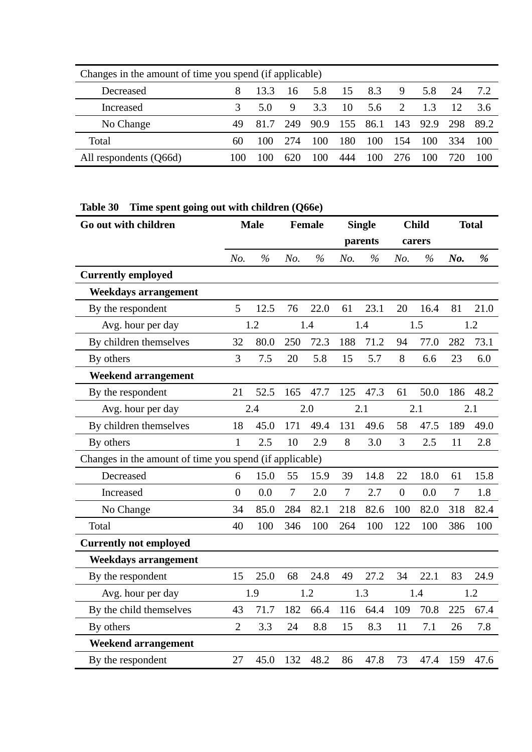| Changes in the amount of time you spend (if applicable) |     |      |     |      |     |      |     |      |     |      |  |  |  |
|---------------------------------------------------------|-----|------|-----|------|-----|------|-----|------|-----|------|--|--|--|
| Decreased                                               |     | 13.3 | 16  | 5.8  | -15 | 8.3  | 9   | 5.8  | 24  | 7.2  |  |  |  |
| Increased                                               |     | 5.0  | 9   | 3.3  | -10 | 5.6  | 2   | 1.3  | 12  | -3.6 |  |  |  |
| No Change                                               | 49  | 81.7 | 249 | 90.9 | 155 | 86.1 | 143 | 92.9 | 298 | 89.2 |  |  |  |
| Total                                                   | 60  | 100  | 274 | 100  | 180 | 100  | 154 | 100  | 334 | 100  |  |  |  |
| All respondents (Q66d)                                  | 100 | 100  | 620 | 00   | 444 | 100  | 276 | 100  |     | 100  |  |  |  |

# **Table 30 Time spent going out with children (Q66e)**

| Go out with children                                    |                | <b>Male</b>   |                | <b>Female</b> |                | <b>Single</b> |                | <b>Child</b>  |                | <b>Total</b>  |
|---------------------------------------------------------|----------------|---------------|----------------|---------------|----------------|---------------|----------------|---------------|----------------|---------------|
|                                                         |                |               |                |               |                | parents       |                | carers        |                |               |
|                                                         | No.            | $\frac{0}{0}$ | No.            | $\frac{0}{0}$ | No.            | $\frac{0}{6}$ | No.            | $\frac{0}{6}$ | No.            | $\frac{9}{6}$ |
| <b>Currently employed</b>                               |                |               |                |               |                |               |                |               |                |               |
| <b>Weekdays arrangement</b>                             |                |               |                |               |                |               |                |               |                |               |
| By the respondent                                       | 5              | 12.5          | 76             | 22.0          | 61             | 23.1          | 20             | 16.4          | 81             | 21.0          |
| Avg. hour per day                                       |                | 1.2           |                | 1.4           |                | 1.4           |                | 1.5           |                | 1.2           |
| By children themselves                                  | 32             | 80.0          | 250            | 72.3          | 188            | 71.2          | 94             | 77.0          | 282            | 73.1          |
| By others                                               | 3              | 7.5           | 20             | 5.8           | 15             | 5.7           | 8              | 6.6           | 23             | 6.0           |
| <b>Weekend arrangement</b>                              |                |               |                |               |                |               |                |               |                |               |
| By the respondent                                       | 21             | 52.5          | 165            | 47.7          | 125            | 47.3          | 61             | 50.0          | 186            | 48.2          |
| Avg. hour per day                                       |                | 2.4           |                | 2.0           |                | 2.1           |                | 2.1           |                | 2.1           |
| By children themselves                                  | 18             | 45.0          | 171            | 49.4          | 131            | 49.6          | 58             | 47.5          | 189            | 49.0          |
| By others                                               | $\mathbf{1}$   | 2.5           | 10             | 2.9           | 8              | 3.0           | 3              | 2.5           | 11             | 2.8           |
| Changes in the amount of time you spend (if applicable) |                |               |                |               |                |               |                |               |                |               |
| Decreased                                               | 6              | 15.0          | 55             | 15.9          | 39             | 14.8          | 22             | 18.0          | 61             | 15.8          |
| Increased                                               | $\overline{0}$ | 0.0           | $\overline{7}$ | 2.0           | $\overline{7}$ | 2.7           | $\overline{0}$ | 0.0           | $\overline{7}$ | 1.8           |
| No Change                                               | 34             | 85.0          | 284            | 82.1          | 218            | 82.6          | 100            | 82.0          | 318            | 82.4          |
| Total                                                   | 40             | 100           | 346            | 100           | 264            | 100           | 122            | 100           | 386            | 100           |
| <b>Currently not employed</b>                           |                |               |                |               |                |               |                |               |                |               |
| <b>Weekdays arrangement</b>                             |                |               |                |               |                |               |                |               |                |               |
| By the respondent                                       | 15             | 25.0          | 68             | 24.8          | 49             | 27.2          | 34             | 22.1          | 83             | 24.9          |
| Avg. hour per day                                       |                | 1.9           |                | 1.2           |                | 1.3           |                | 1.4           |                | 1.2           |
| By the child themselves                                 | 43             | 71.7          | 182            | 66.4          | 116            | 64.4          | 109            | 70.8          | 225            | 67.4          |
| By others                                               | $\overline{2}$ | 3.3           | 24             | 8.8           | 15             | 8.3           | 11             | 7.1           | 26             | 7.8           |
| <b>Weekend arrangement</b>                              |                |               |                |               |                |               |                |               |                |               |
| By the respondent                                       | 27             | 45.0          | 132            | 48.2          | 86             | 47.8          | 73             | 47.4          | 159            | 47.6          |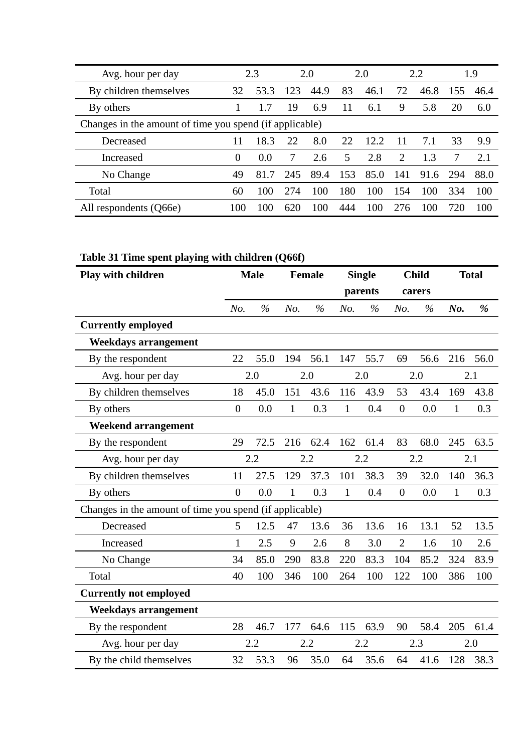| Avg. hour per day                                       |          | 2.3  |     | 2.0  |     | 2.0  |     | 2.2  |     | 1.9  |
|---------------------------------------------------------|----------|------|-----|------|-----|------|-----|------|-----|------|
| By children themselves                                  | 32       | 53.3 | 123 | 44.9 | 83  | 46.1 | 72  | 46.8 | 155 | 46.4 |
| By others                                               |          | 1.7  | 19  | 6.9  | 11  | 6.1  | 9   | 5.8  | 20  | 6.0  |
| Changes in the amount of time you spend (if applicable) |          |      |     |      |     |      |     |      |     |      |
| Decreased                                               | 11       | 18.3 | 22  | 8.0  | 22  | 12.2 | 11  | 7.1  | 33  | 9.9  |
| Increased                                               | $\theta$ | 0.0  |     | 2.6  | 5.  | 2.8  | 2   | 1.3  |     | 2.1  |
| No Change                                               | 49       | 81.7 | 245 | 89.4 | 153 | 85.0 | 141 | 91.6 | 294 | 88.0 |
| Total                                                   | 60       | 100  | 274 | 100  | 180 | 100  | 154 | 100  | 334 | 100  |
| All respondents (Q66e)                                  | 100      | 100  | 620 | 100  | 444 | 100  | 276 | 100  | 720 | 100  |

## **Table 31 Time spent playing with children (Q66f)**

| Play with children                                      |                | <b>Male</b> |              | <b>Female</b> |              | <b>Single</b> |                  | <b>Child</b> |              | <b>Total</b> |
|---------------------------------------------------------|----------------|-------------|--------------|---------------|--------------|---------------|------------------|--------------|--------------|--------------|
|                                                         |                |             |              |               |              | parents       |                  | carers       |              |              |
|                                                         | No.            | $\%$        | No.          | $\%$          | No.          | $\%$          | No.              | $\%$         | No.          | $\%$         |
| <b>Currently employed</b>                               |                |             |              |               |              |               |                  |              |              |              |
| <b>Weekdays arrangement</b>                             |                |             |              |               |              |               |                  |              |              |              |
| By the respondent                                       | 22             | 55.0        | 194          | 56.1          | 147          | 55.7          | 69               | 56.6         | 216          | 56.0         |
| Avg. hour per day                                       |                | 2.0         |              | 2.0           |              | 2.0           |                  | 2.0          |              | 2.1          |
| By children themselves                                  | 18             | 45.0        | 151          | 43.6          | 116          | 43.9          | 53               | 43.4         | 169          | 43.8         |
| By others                                               | $\overline{0}$ | 0.0         | $\mathbf{1}$ | 0.3           | $\mathbf{1}$ | 0.4           | $\overline{0}$   | 0.0          | $\mathbf{1}$ | 0.3          |
| <b>Weekend arrangement</b>                              |                |             |              |               |              |               |                  |              |              |              |
| By the respondent                                       | 29             | 72.5        | 216          | 62.4          | 162          | 61.4          | 83               | 68.0         | 245          | 63.5         |
| Avg. hour per day                                       |                | 2.2         |              | 2.2           |              | 2.2           |                  | 2.2          |              | 2.1          |
| By children themselves                                  | 11             | 27.5        | 129          | 37.3          | 101          | 38.3          | 39               | 32.0         | 140          | 36.3         |
| By others                                               | $\overline{0}$ | 0.0         | $\mathbf{1}$ | 0.3           | $\mathbf{1}$ | 0.4           | $\boldsymbol{0}$ | 0.0          | 1            | 0.3          |
| Changes in the amount of time you spend (if applicable) |                |             |              |               |              |               |                  |              |              |              |
| Decreased                                               | 5              | 12.5        | 47           | 13.6          | 36           | 13.6          | 16               | 13.1         | 52           | 13.5         |
| Increased                                               | $\mathbf{1}$   | 2.5         | 9            | 2.6           | 8            | 3.0           | $\overline{2}$   | 1.6          | 10           | 2.6          |
| No Change                                               | 34             | 85.0        | 290          | 83.8          | 220          | 83.3          | 104              | 85.2         | 324          | 83.9         |
| Total                                                   | 40             | 100         | 346          | 100           | 264          | 100           | 122              | 100          | 386          | 100          |
| <b>Currently not employed</b>                           |                |             |              |               |              |               |                  |              |              |              |
| <b>Weekdays arrangement</b>                             |                |             |              |               |              |               |                  |              |              |              |
| By the respondent                                       | 28             | 46.7        | 177          | 64.6          | 115          | 63.9          | 90               | 58.4         | 205          | 61.4         |
| Avg. hour per day                                       |                | 2.2         |              | 2.2           |              | 2.2           |                  | 2.3          |              | 2.0          |
| By the child themselves                                 | 32             | 53.3        | 96           | 35.0          | 64           | 35.6          | 64               | 41.6         | 128          | 38.3         |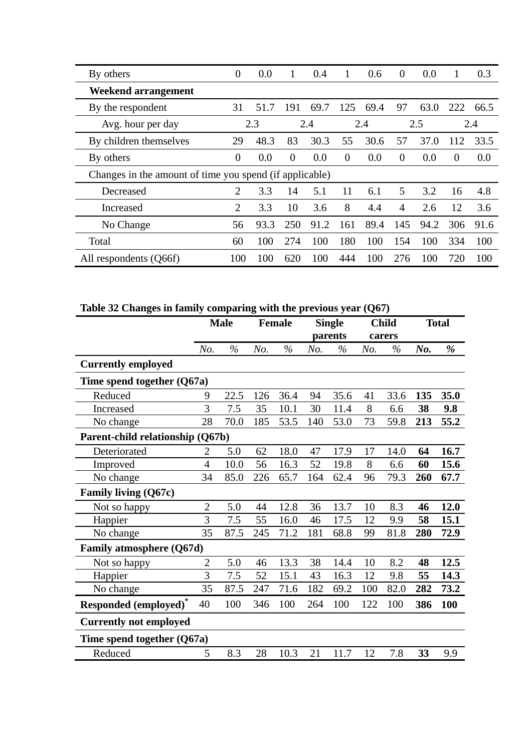| By others                                               | $\overline{0}$ | 0.0  | 1        | 0.4  | 1        | 0.6  | $\theta$       | 0.0  |          | 0.3  |
|---------------------------------------------------------|----------------|------|----------|------|----------|------|----------------|------|----------|------|
| <b>Weekend arrangement</b>                              |                |      |          |      |          |      |                |      |          |      |
| By the respondent                                       | 31             | 51.7 | 191      | 69.7 | 125      | 69.4 | 97             | 63.0 | 222      | 66.5 |
| Avg. hour per day                                       |                | 2.3  |          | 2.4  |          | 2.4  |                | 2.5  |          | 2.4  |
| By children themselves                                  | 29             | 48.3 | 83       | 30.3 | 55       | 30.6 | 57             | 37.0 | 112      | 33.5 |
| By others                                               | $\overline{0}$ | 0.0  | $\theta$ | 0.0  | $\Omega$ | 0.0  | $\Omega$       | 0.0  | $\theta$ | 0.0  |
| Changes in the amount of time you spend (if applicable) |                |      |          |      |          |      |                |      |          |      |
| Decreased                                               | $\overline{2}$ | 3.3  | 14       | 5.1  | 11       | 6.1  | 5              | 3.2  | 16       | 4.8  |
| Increased                                               | $\overline{2}$ | 3.3  | 10       | 3.6  | 8        | 4.4  | $\overline{4}$ | 2.6  | 12       | 3.6  |
| No Change                                               | 56             | 93.3 | 250      | 91.2 | 161      | 89.4 | 145            | 94.2 | 306      | 91.6 |
| Total                                                   | 60             | 100  | 274      | 100  | 180      | 100  | 154            | 100  | 334      | 100  |
| All respondents (Q66f)                                  | 100            | 100  | 620      | 100  | 444      | 100  | 276            | 100  | 720      | 100  |

**Table 32 Changes in family comparing with the previous year (Q67)** 

|                                         |                | <b>Male</b> |     | <b>Female</b> |     | <b>Single</b><br>parents |     | <b>Child</b><br>carers |     | <b>Total</b> |
|-----------------------------------------|----------------|-------------|-----|---------------|-----|--------------------------|-----|------------------------|-----|--------------|
|                                         | No.            | $\%$        | No. | $\frac{0}{0}$ | No. | $\%$                     | No. | $\%$                   | No. | %            |
| <b>Currently employed</b>               |                |             |     |               |     |                          |     |                        |     |              |
| Time spend together $(Q67a)$            |                |             |     |               |     |                          |     |                        |     |              |
| Reduced                                 | 9              | 22.5        | 126 | 36.4          | 94  | 35.6                     | 41  | 33.6                   | 135 | 35.0         |
| Increased                               | 3              | 7.5         | 35  | 10.1          | 30  | 11.4                     | 8   | 6.6                    | 38  | 9.8          |
| No change                               | 28             | 70.0        | 185 | 53.5          | 140 | 53.0                     | 73  | 59.8                   | 213 | 55.2         |
| Parent-child relationship (Q67b)        |                |             |     |               |     |                          |     |                        |     |              |
| Deteriorated                            | $\overline{2}$ | 5.0         | 62  | 18.0          | 47  | 17.9                     | 17  | 14.0                   | 64  | 16.7         |
| Improved                                | $\overline{4}$ | 10.0        | 56  | 16.3          | 52  | 19.8                     | 8   | 6.6                    | 60  | 15.6         |
| No change                               | 34             | 85.0        | 226 | 65.7          | 164 | 62.4                     | 96  | 79.3                   | 260 | 67.7         |
| Family living (Q67c)                    |                |             |     |               |     |                          |     |                        |     |              |
| Not so happy                            | $\overline{2}$ | 5.0         | 44  | 12.8          | 36  | 13.7                     | 10  | 8.3                    | 46  | 12.0         |
| Happier                                 | 3              | 7.5         | 55  | 16.0          | 46  | 17.5                     | 12  | 9.9                    | 58  | 15.1         |
| No change                               | 35             | 87.5        | 245 | 71.2          | 181 | 68.8                     | 99  | 81.8                   | 280 | 72.9         |
| Family atmosphere (Q67d)                |                |             |     |               |     |                          |     |                        |     |              |
| Not so happy                            | $\overline{2}$ | 5.0         | 46  | 13.3          | 38  | 14.4                     | 10  | 8.2                    | 48  | 12.5         |
| Happier                                 | 3              | 7.5         | 52  | 15.1          | 43  | 16.3                     | 12  | 9.8                    | 55  | 14.3         |
| No change                               | 35             | 87.5        | 247 | 71.6          | 182 | 69.2                     | 100 | 82.0                   | 282 | 73.2         |
| <b>Responded (employed)<sup>*</sup></b> | 40             | 100         | 346 | 100           | 264 | 100                      | 122 | 100                    | 386 | 100          |
| <b>Currently not employed</b>           |                |             |     |               |     |                          |     |                        |     |              |
| Time spend together (Q67a)              |                |             |     |               |     |                          |     |                        |     |              |
| Reduced                                 | 5              | 8.3         | 28  | 10.3          | 21  | 11.7                     | 12  | 7.8                    | 33  | 9.9          |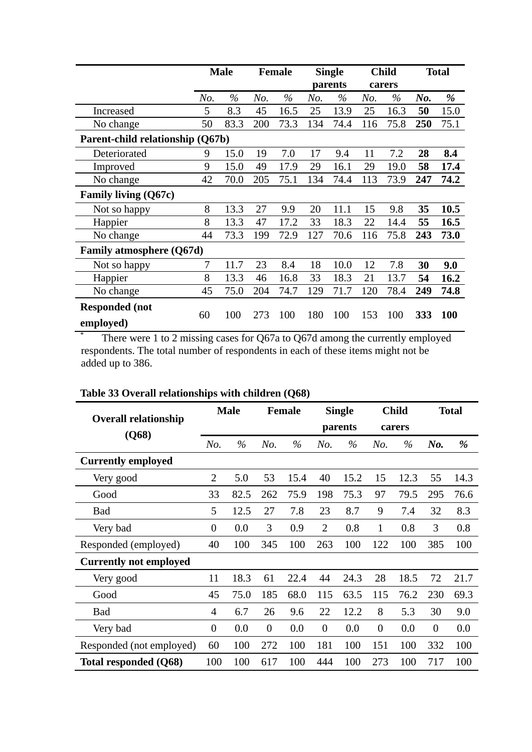|                                    |                | <b>Male</b> |     | <b>Female</b> |     | <b>Single</b><br>parents |     | <b>Child</b><br>carers |     | <b>Total</b> |
|------------------------------------|----------------|-------------|-----|---------------|-----|--------------------------|-----|------------------------|-----|--------------|
|                                    | No.            | $\%$        | No. | $\%$          | No. | $\%$                     | No. | $\%$                   | No. | %            |
| Increased                          | 5              | 8.3         | 45  | 16.5          | 25  | 13.9                     | 25  | 16.3                   | 50  | 15.0         |
| No change                          | 50             | 83.3        | 200 | 73.3          | 134 | 74.4                     | 116 | 75.8                   | 250 | 75.1         |
| Parent-child relationship (Q67b)   |                |             |     |               |     |                          |     |                        |     |              |
| Deteriorated                       | 9              | 15.0        | 19  | 7.0           | 17  | 9.4                      | 11  | 7.2                    | 28  | 8.4          |
| Improved                           | 9              | 15.0        | 49  | 17.9          | 29  | 16.1                     | 29  | 19.0                   | 58  | 17.4         |
| No change                          | 42             | 70.0        | 205 | 75.1          | 134 | 74.4                     | 113 | 73.9                   | 247 | 74.2         |
| <b>Family living (Q67c)</b>        |                |             |     |               |     |                          |     |                        |     |              |
| Not so happy                       | 8              | 13.3        | 27  | 9.9           | 20  | 11.1                     | 15  | 9.8                    | 35  | 10.5         |
| Happier                            | 8              | 13.3        | 47  | 17.2          | 33  | 18.3                     | 22  | 14.4                   | 55  | 16.5         |
| No change                          | 44             | 73.3        | 199 | 72.9          | 127 | 70.6                     | 116 | 75.8                   | 243 | 73.0         |
| <b>Family atmosphere (Q67d)</b>    |                |             |     |               |     |                          |     |                        |     |              |
| Not so happy                       | $\overline{7}$ | 11.7        | 23  | 8.4           | 18  | 10.0                     | 12  | 7.8                    | 30  | 9.0          |
| Happier                            | 8              | 13.3        | 46  | 16.8          | 33  | 18.3                     | 21  | 13.7                   | 54  | 16.2         |
| No change                          | 45             | 75.0        | 204 | 74.7          | 129 | 71.7                     | 120 | 78.4                   | 249 | 74.8         |
| <b>Responded</b> (not<br>employed) | 60             | 100         | 273 | 100           | 180 | 100                      | 153 | 100                    | 333 | 100          |

There were 1 to 2 missing cases for Q67a to Q67d among the currently employed respondents. The total number of respondents in each of these items might not be added up to 386.

| <b>Overall relationship</b>   |                | <b>Male</b> |          | <b>Female</b> |                | <b>Single</b> |          | <b>Child</b> |                | <b>Total</b> |
|-------------------------------|----------------|-------------|----------|---------------|----------------|---------------|----------|--------------|----------------|--------------|
| (Q68)                         |                |             |          |               |                | parents       |          | carers       |                |              |
|                               | No.            | $\%$        | No.      | $\%$          | No.            | $\%$          | No.      | $\%$         | No.            | %            |
| <b>Currently employed</b>     |                |             |          |               |                |               |          |              |                |              |
| Very good                     | $\overline{2}$ | 5.0         | 53       | 15.4          | 40             | 15.2          | 15       | 12.3         | 55             | 14.3         |
| Good                          | 33             | 82.5        | 262      | 75.9          | 198            | 75.3          | 97       | 79.5         | 295            | 76.6         |
| <b>Bad</b>                    | 5              | 12.5        | 27       | 7.8           | 23             | 8.7           | 9        | 7.4          | 32             | 8.3          |
| Very bad                      | $\theta$       | 0.0         | 3        | 0.9           | $\overline{2}$ | 0.8           | 1        | 0.8          | 3              | 0.8          |
| Responded (employed)          | 40             | 100         | 345      | 100           | 263            | 100           | 122      | 100          | 385            | 100          |
| <b>Currently not employed</b> |                |             |          |               |                |               |          |              |                |              |
| Very good                     | 11             | 18.3        | 61       | 22.4          | 44             | 24.3          | 28       | 18.5         | 72             | 21.7         |
| Good                          | 45             | 75.0        | 185      | 68.0          | 115            | 63.5          | 115      | 76.2         | 230            | 69.3         |
| <b>Bad</b>                    | 4              | 6.7         | 26       | 9.6           | 22             | 12.2          | 8        | 5.3          | 30             | 9.0          |
| Very bad                      | $\overline{0}$ | 0.0         | $\theta$ | 0.0           | $\overline{0}$ | 0.0           | $\theta$ | 0.0          | $\overline{0}$ | 0.0          |
| Responded (not employed)      | 60             | 100         | 272      | 100           | 181            | 100           | 151      | 100          | 332            | 100          |
| Total responded (Q68)         | 100            | 100         | 617      | 100           | 444            | 100           | 273      | 100          | 717            | 100          |

## **Table 33 Overall relationships with children (Q68)**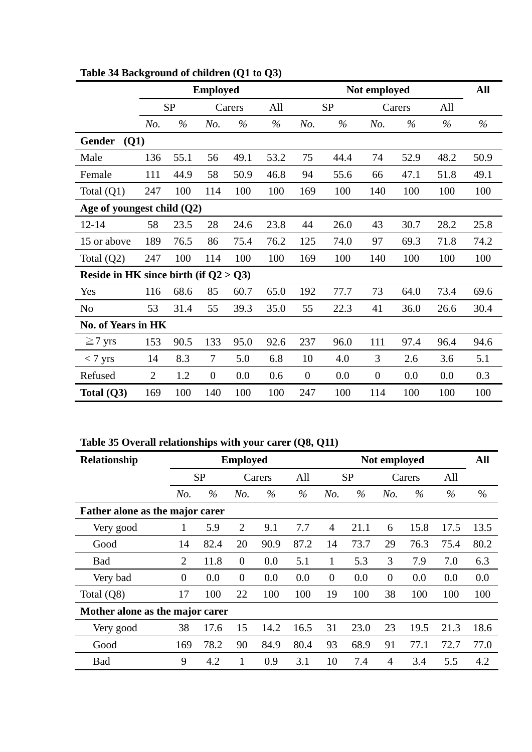|                                          |                |           | <b>Employed</b> |        |      |                |           | Not employed     |        |      | All  |
|------------------------------------------|----------------|-----------|-----------------|--------|------|----------------|-----------|------------------|--------|------|------|
|                                          |                | <b>SP</b> |                 | Carers | All  |                | <b>SP</b> |                  | Carers | All  |      |
|                                          | No.            | $\%$      | No.             | $\%$   | $\%$ | No.            | $\%$      | No.              | $\%$   | $\%$ | $\%$ |
| <b>Gender</b><br>(Q1)                    |                |           |                 |        |      |                |           |                  |        |      |      |
| Male                                     | 136            | 55.1      | 56              | 49.1   | 53.2 | 75             | 44.4      | 74               | 52.9   | 48.2 | 50.9 |
| Female                                   | 111            | 44.9      | 58              | 50.9   | 46.8 | 94             | 55.6      | 66               | 47.1   | 51.8 | 49.1 |
| Total $(Q1)$                             | 247            | 100       | 114             | 100    | 100  | 169            | 100       | 140              | 100    | 100  | 100  |
| Age of youngest child $(Q2)$             |                |           |                 |        |      |                |           |                  |        |      |      |
| $12 - 14$                                | 58             | 23.5      | 28              | 24.6   | 23.8 | 44             | 26.0      | 43               | 30.7   | 28.2 | 25.8 |
| 15 or above                              | 189            | 76.5      | 86              | 75.4   | 76.2 | 125            | 74.0      | 97               | 69.3   | 71.8 | 74.2 |
| Total $(Q2)$                             | 247            | 100       | 114             | 100    | 100  | 169            | 100       | 140              | 100    | 100  | 100  |
| Reside in HK since birth (if $Q2 > Q3$ ) |                |           |                 |        |      |                |           |                  |        |      |      |
| Yes                                      | 116            | 68.6      | 85              | 60.7   | 65.0 | 192            | 77.7      | 73               | 64.0   | 73.4 | 69.6 |
| N <sub>0</sub>                           | 53             | 31.4      | 55              | 39.3   | 35.0 | 55             | 22.3      | 41               | 36.0   | 26.6 | 30.4 |
| <b>No. of Years in HK</b>                |                |           |                 |        |      |                |           |                  |        |      |      |
| $\geq$ 7 yrs                             | 153            | 90.5      | 133             | 95.0   | 92.6 | 237            | 96.0      | 111              | 97.4   | 96.4 | 94.6 |
| $< 7~\rm{yrs}$                           | 14             | 8.3       | 7               | 5.0    | 6.8  | 10             | 4.0       | 3                | 2.6    | 3.6  | 5.1  |
| Refused                                  | $\overline{2}$ | 1.2       | $\overline{0}$  | 0.0    | 0.6  | $\overline{0}$ | 0.0       | $\boldsymbol{0}$ | 0.0    | 0.0  | 0.3  |
| Total (Q3)                               | 169            | 100       | 140             | 100    | 100  | 247            | 100       | 114              | 100    | 100  | 100  |

**Table 34 Background of children (Q1 to Q3)** 

**Table 35 Overall relationships with your carer (Q8, Q11)** 

| Relationship                    | <b>Employed</b> |           |                |        | Not employed |                |      |                |      | All  |      |
|---------------------------------|-----------------|-----------|----------------|--------|--------------|----------------|------|----------------|------|------|------|
|                                 |                 | <b>SP</b> |                | Carers | All          | <b>SP</b>      |      | Carers         |      | All  |      |
|                                 | No.             | $\%$      | No.            | $\%$   | $\%$         | No.            | $\%$ | No.            | $\%$ | $\%$ | %    |
| Father alone as the major carer |                 |           |                |        |              |                |      |                |      |      |      |
| Very good                       |                 | 5.9       | $\overline{2}$ | 9.1    | 7.7          | $\overline{4}$ | 21.1 | 6              | 15.8 | 17.5 | 13.5 |
| Good                            | 14              | 82.4      | 20             | 90.9   | 87.2         | 14             | 73.7 | 29             | 76.3 | 75.4 | 80.2 |
| <b>Bad</b>                      | $\overline{2}$  | 11.8      | $\overline{0}$ | 0.0    | 5.1          | 1              | 5.3  | 3              | 7.9  | 7.0  | 6.3  |
| Very bad                        | $\theta$        | 0.0       | $\overline{0}$ | 0.0    | 0.0          | $\overline{0}$ | 0.0  | $\overline{0}$ | 0.0  | 0.0  | 0.0  |
| Total (Q8)                      | 17              | 100       | 22             | 100    | 100          | 19             | 100  | 38             | 100  | 100  | 100  |
| Mother alone as the major carer |                 |           |                |        |              |                |      |                |      |      |      |
| Very good                       | 38              | 17.6      | 15             | 14.2   | 16.5         | 31             | 23.0 | 23             | 19.5 | 21.3 | 18.6 |
| Good                            | 169             | 78.2      | 90             | 84.9   | 80.4         | 93             | 68.9 | 91             | 77.1 | 72.7 | 77.0 |
| <b>Bad</b>                      | 9               | 4.2       |                | 0.9    | 3.1          | 10             | 7.4  | 4              | 3.4  | 5.5  | 4.2  |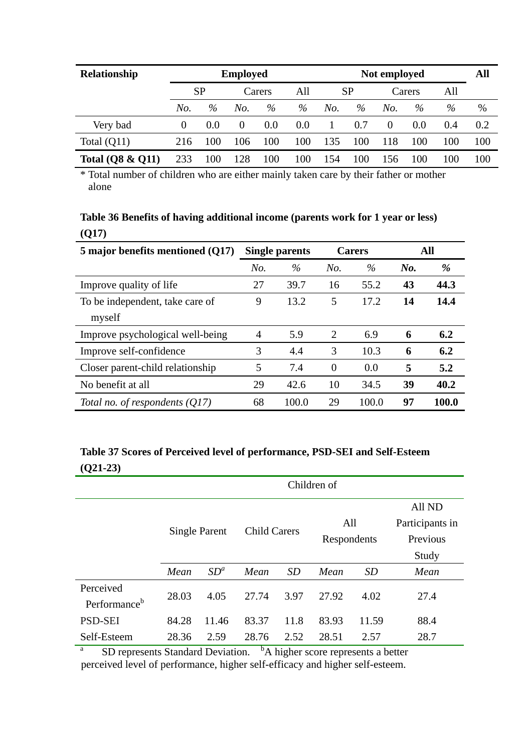| Relationship                | <b>Employed</b> |      |          |        | Not employed |     |      |          |      | All |     |
|-----------------------------|-----------------|------|----------|--------|--------------|-----|------|----------|------|-----|-----|
|                             | <b>SP</b>       |      |          | Carers |              | SP  |      | Carers   |      | All |     |
|                             | No.             | $\%$ | No.      | %      | %            | No. | $\%$ | No.      | $\%$ | %   | %   |
| Very bad                    | $\Omega$        | 0.0  | $\theta$ | 0.0    | 0.0          |     | 0.7  | $\theta$ | 0.0  | 0.4 | 0.2 |
| Total $(Q11)$               | 216             | 100  | 106      | 100    | 100          | 135 | 100  | 118      | 100  | 100 | 100 |
| <b>Total (Q8 &amp; Q11)</b> | 233             | 100  | 28       | 100    | 100          | 54  | 100  | 156      | 100  | 100 | 100 |

\* Total number of children who are either mainly taken care by their father or mother alone

## **Table 36 Benefits of having additional income (parents work for 1 year or less) (Q17)**

| 5 major benefits mentioned (Q17) | <b>Single parents</b> |       |                | <b>Carers</b> | All |       |
|----------------------------------|-----------------------|-------|----------------|---------------|-----|-------|
|                                  | No.                   | $\%$  | No.            | $\%$          | No. | %     |
| Improve quality of life          | 27                    | 39.7  | 16             | 55.2          | 43  | 44.3  |
| To be independent, take care of  | 9                     | 13.2  | 5              | 17.2          | 14  | 14.4  |
| myself                           |                       |       |                |               |     |       |
| Improve psychological well-being | $\overline{4}$        | 5.9   | 2              | 6.9           | 6   | 6.2   |
| Improve self-confidence          | 3                     | 4.4   | 3              | 10.3          | 6   | 6.2   |
| Closer parent-child relationship | 5                     | 7.4   | $\overline{0}$ | 0.0           | 5   | 5.2   |
| No benefit at all                | 29                    | 42.6  | 10             | 34.5          | 39  | 40.2  |
| Total no. of respondents $(Q17)$ | 68                    | 100.0 | 29             | 100.0         | 97  | 100.0 |

## **Table 37 Scores of Perceived level of performance, PSD-SEI and Self-Esteem (Q21-23)**

|                                                                                           | Children of          |        |       |                     |       |             |                 |  |  |
|-------------------------------------------------------------------------------------------|----------------------|--------|-------|---------------------|-------|-------------|-----------------|--|--|
|                                                                                           |                      |        |       |                     |       |             | All ND          |  |  |
|                                                                                           | <b>Single Parent</b> |        |       |                     | All   |             | Participants in |  |  |
|                                                                                           |                      |        |       | <b>Child Carers</b> |       | Respondents | Previous        |  |  |
|                                                                                           |                      |        |       |                     |       |             | Study           |  |  |
|                                                                                           | Mean                 | $SD^a$ | Mean  | <i>SD</i>           | Mean  | <i>SD</i>   | Mean            |  |  |
| Perceived                                                                                 | 28.03                | 4.05   | 27.74 | 3.97                | 27.92 | 4.02        | 27.4            |  |  |
| Performance <sup>b</sup>                                                                  |                      |        |       |                     |       |             |                 |  |  |
| <b>PSD-SEI</b>                                                                            | 84.28                | 11.46  | 83.37 | 11.8                | 83.93 | 11.59       | 88.4            |  |  |
| Self-Esteem                                                                               | 28.36                | 2.59   | 28.76 | 2.52                | 28.51 | 2.57        | 28.7            |  |  |
| a<br><sup>b</sup> A higher score represents a better<br>SD represents Standard Deviation. |                      |        |       |                     |       |             |                 |  |  |

perceived level of performance, higher self-efficacy and higher self-esteem.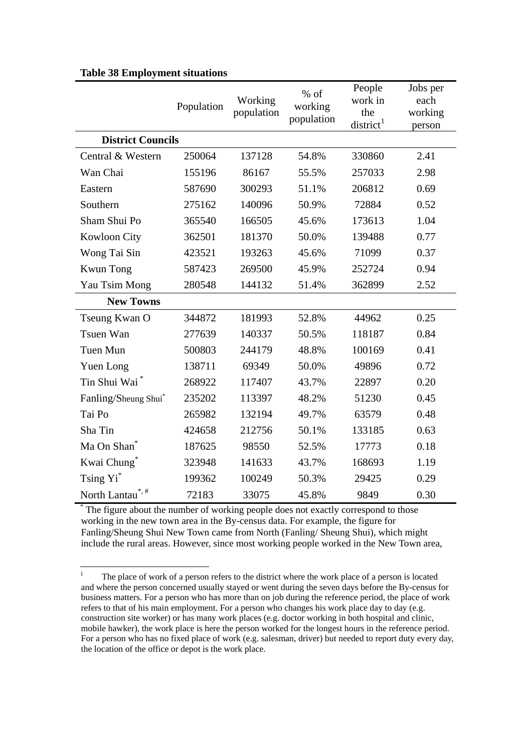|                          | Population | Working<br>population | $%$ of<br>working<br>population | People<br>work in<br>the<br>district <sup>1</sup> | Jobs per<br>each<br>working<br>person |
|--------------------------|------------|-----------------------|---------------------------------|---------------------------------------------------|---------------------------------------|
| <b>District Councils</b> |            |                       |                                 |                                                   |                                       |
| Central & Western        | 250064     | 137128                | 54.8%                           | 330860                                            | 2.41                                  |
| Wan Chai                 | 155196     | 86167                 | 55.5%                           | 257033                                            | 2.98                                  |
| Eastern                  | 587690     | 300293                | 51.1%                           | 206812                                            | 0.69                                  |
| Southern                 | 275162     | 140096                | 50.9%                           | 72884                                             | 0.52                                  |
| Sham Shui Po             | 365540     | 166505                | 45.6%                           | 173613                                            | 1.04                                  |
| <b>Kowloon City</b>      | 362501     | 181370                | 50.0%                           | 139488                                            | 0.77                                  |
| Wong Tai Sin             | 423521     | 193263                | 45.6%                           | 71099                                             | 0.37                                  |
| <b>Kwun Tong</b>         | 587423     | 269500                | 45.9%                           | 252724                                            | 0.94                                  |
| Yau Tsim Mong            | 280548     | 144132                | 51.4%                           | 362899                                            | 2.52                                  |
| <b>New Towns</b>         |            |                       |                                 |                                                   |                                       |
| Tseung Kwan O            | 344872     | 181993                | 52.8%                           | 44962                                             | 0.25                                  |
| Tsuen Wan                | 277639     | 140337                | 50.5%                           | 118187                                            | 0.84                                  |
| Tuen Mun                 | 500803     | 244179                | 48.8%                           | 100169                                            | 0.41                                  |
| Yuen Long                | 138711     | 69349                 | 50.0%                           | 49896                                             | 0.72                                  |
| Tin Shui Wai*            | 268922     | 117407                | 43.7%                           | 22897                                             | 0.20                                  |
| Fanling/Sheung Shui*     | 235202     | 113397                | 48.2%                           | 51230                                             | 0.45                                  |
| Tai Po                   | 265982     | 132194                | 49.7%                           | 63579                                             | 0.48                                  |
| Sha Tin                  | 424658     | 212756                | 50.1%                           | 133185                                            | 0.63                                  |
| Ma On Shan <sup>®</sup>  | 187625     | 98550                 | 52.5%                           | 17773                                             | 0.18                                  |
| Kwai Chung*              | 323948     | 141633                | 43.7%                           | 168693                                            | 1.19                                  |
| Tsing Yi <sup>*</sup>    | 199362     | 100249                | 50.3%                           | 29425                                             | 0.29                                  |
| North Lantau*,#          | 72183      | 33075                 | 45.8%                           | 9849                                              | 0.30                                  |

#### <span id="page-46-0"></span>**Table 38 Employment situations**

The figure about the number of working people does not exactly correspond to those working in the new town area in the By-census data. For example, the figure for Fanling/Sheung Shui New Town came from North (Fanling/ Sheung Shui), which might include the rural areas. However, since most working people worked in the New Town area,

 $\frac{1}{1}$  The place of work of a person refers to the district where the work place of a person is located and where the person concerned usually stayed or went during the seven days before the By-census for business matters. For a person who has more than on job during the reference period, the place of work refers to that of his main employment. For a person who changes his work place day to day (e.g. construction site worker) or has many work places (e.g. doctor working in both hospital and clinic, mobile hawker), the work place is here the person worked for the longest hours in the reference period. For a person who has no fixed place of work (e.g. salesman, driver) but needed to report duty every day, the location of the office or depot is the work place.